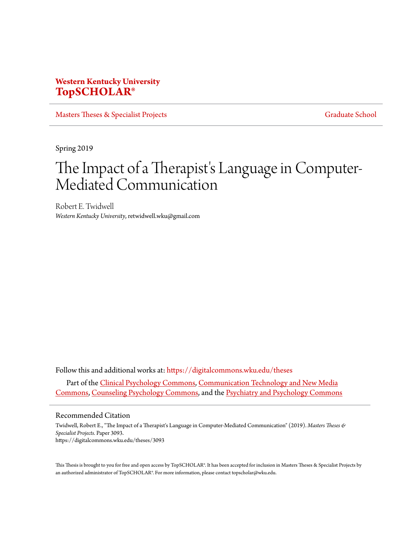# **Western Kentucky University [TopSCHOLAR®](https://digitalcommons.wku.edu?utm_source=digitalcommons.wku.edu%2Ftheses%2F3093&utm_medium=PDF&utm_campaign=PDFCoverPages)**

[Masters Theses & Specialist Projects](https://digitalcommons.wku.edu/theses?utm_source=digitalcommons.wku.edu%2Ftheses%2F3093&utm_medium=PDF&utm_campaign=PDFCoverPages) [Graduate School](https://digitalcommons.wku.edu/Graduate?utm_source=digitalcommons.wku.edu%2Ftheses%2F3093&utm_medium=PDF&utm_campaign=PDFCoverPages) Graduate School

Spring 2019

# The Impact of a Therapist's Language in Computer-Mediated Communication

Robert E. Twidwell *Western Kentucky University*, retwidwell.wku@gmail.com

Follow this and additional works at: [https://digitalcommons.wku.edu/theses](https://digitalcommons.wku.edu/theses?utm_source=digitalcommons.wku.edu%2Ftheses%2F3093&utm_medium=PDF&utm_campaign=PDFCoverPages) Part of the [Clinical Psychology Commons,](http://network.bepress.com/hgg/discipline/406?utm_source=digitalcommons.wku.edu%2Ftheses%2F3093&utm_medium=PDF&utm_campaign=PDFCoverPages) [Communication Technology and New Media](http://network.bepress.com/hgg/discipline/327?utm_source=digitalcommons.wku.edu%2Ftheses%2F3093&utm_medium=PDF&utm_campaign=PDFCoverPages) [Commons,](http://network.bepress.com/hgg/discipline/327?utm_source=digitalcommons.wku.edu%2Ftheses%2F3093&utm_medium=PDF&utm_campaign=PDFCoverPages) [Counseling Psychology Commons,](http://network.bepress.com/hgg/discipline/1044?utm_source=digitalcommons.wku.edu%2Ftheses%2F3093&utm_medium=PDF&utm_campaign=PDFCoverPages) and the [Psychiatry and Psychology Commons](http://network.bepress.com/hgg/discipline/908?utm_source=digitalcommons.wku.edu%2Ftheses%2F3093&utm_medium=PDF&utm_campaign=PDFCoverPages)

#### Recommended Citation

Twidwell, Robert E., "The Impact of a Therapist's Language in Computer-Mediated Communication" (2019). *Masters Theses & Specialist Projects.* Paper 3093. https://digitalcommons.wku.edu/theses/3093

This Thesis is brought to you for free and open access by TopSCHOLAR®. It has been accepted for inclusion in Masters Theses & Specialist Projects by an authorized administrator of TopSCHOLAR®. For more information, please contact topscholar@wku.edu.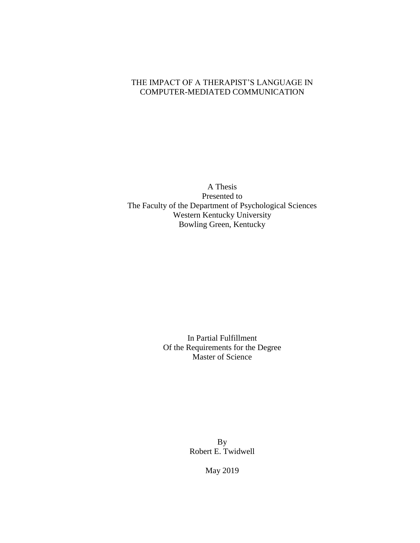# THE IMPACT OF A THERAPIST'S LANGUAGE IN COMPUTER-MEDIATED COMMUNICATION

A Thesis Presented to The Faculty of the Department of Psychological Sciences Western Kentucky University Bowling Green, Kentucky

> In Partial Fulfillment Of the Requirements for the Degree Master of Science

> > By Robert E. Twidwell

> > > May 2019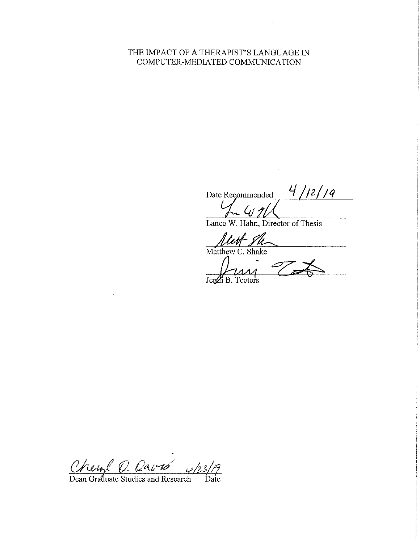# THE IMPACT OF A THERAPIST'S LANGUAGE IN COMPUTER-MEDIATED COMMUNICATION

Date Recommended 4/12/19

*<u>Mutt</u>* Su

Jemi B.

Cherol O. Oavré<br>Dean Graduate Studies and Research

Date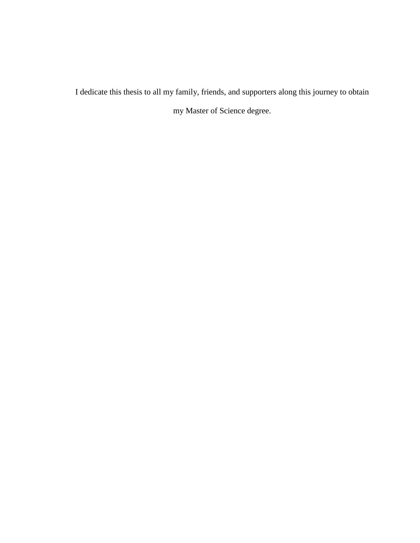I dedicate this thesis to all my family, friends, and supporters along this journey to obtain my Master of Science degree.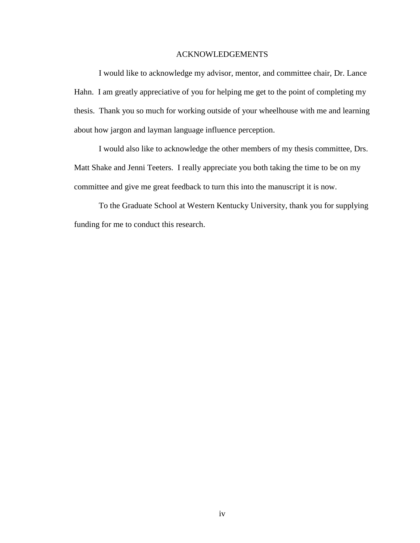## ACKNOWLEDGEMENTS

I would like to acknowledge my advisor, mentor, and committee chair, Dr. Lance Hahn. I am greatly appreciative of you for helping me get to the point of completing my thesis. Thank you so much for working outside of your wheelhouse with me and learning about how jargon and layman language influence perception.

I would also like to acknowledge the other members of my thesis committee, Drs. Matt Shake and Jenni Teeters. I really appreciate you both taking the time to be on my committee and give me great feedback to turn this into the manuscript it is now.

To the Graduate School at Western Kentucky University, thank you for supplying funding for me to conduct this research.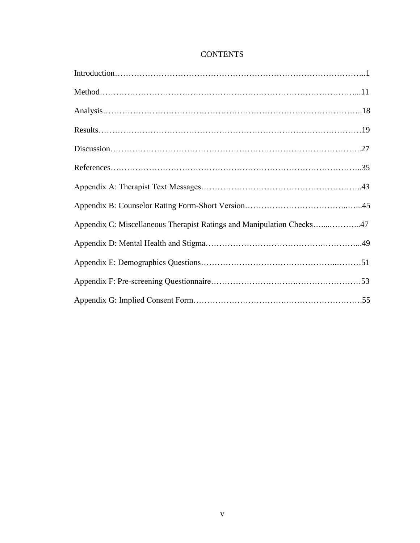| Appendix C: Miscellaneous Therapist Ratings and Manipulation Checks47 |
|-----------------------------------------------------------------------|
|                                                                       |
|                                                                       |
|                                                                       |
|                                                                       |

# **CONTENTS**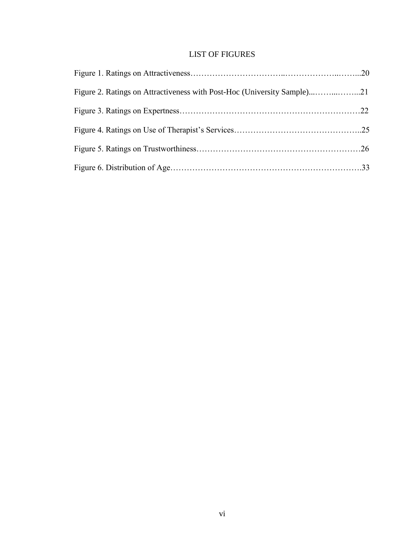# LIST OF FIGURES

| Figure 2. Ratings on Attractiveness with Post-Hoc (University Sample)21 |  |
|-------------------------------------------------------------------------|--|
|                                                                         |  |
|                                                                         |  |
|                                                                         |  |
|                                                                         |  |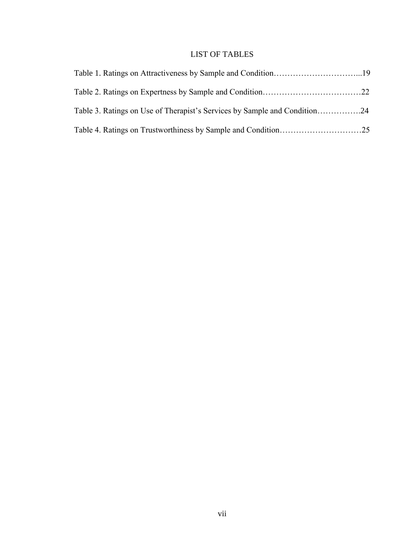# LIST OF TABLES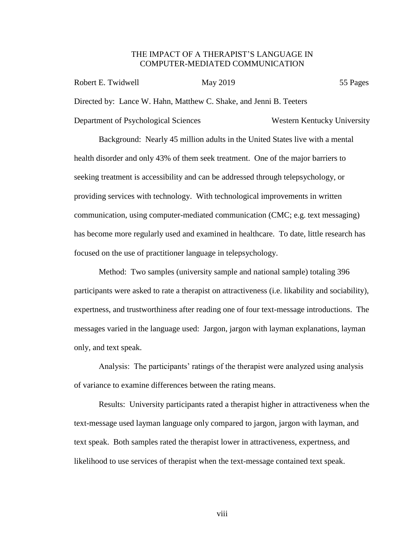## THE IMPACT OF A THERAPIST'S LANGUAGE IN COMPUTER-MEDIATED COMMUNICATION

| Robert E. Twidwell                                                 | May 2019 | 55 Pages                    |
|--------------------------------------------------------------------|----------|-----------------------------|
| Directed by: Lance W. Hahn, Matthew C. Shake, and Jenni B. Teeters |          |                             |
| Department of Psychological Sciences                               |          | Western Kentucky University |

Background: Nearly 45 million adults in the United States live with a mental health disorder and only 43% of them seek treatment. One of the major barriers to seeking treatment is accessibility and can be addressed through telepsychology, or providing services with technology. With technological improvements in written communication, using computer-mediated communication (CMC; e.g. text messaging) has become more regularly used and examined in healthcare. To date, little research has focused on the use of practitioner language in telepsychology.

Method: Two samples (university sample and national sample) totaling 396 participants were asked to rate a therapist on attractiveness (i.e. likability and sociability), expertness, and trustworthiness after reading one of four text-message introductions. The messages varied in the language used: Jargon, jargon with layman explanations, layman only, and text speak.

Analysis: The participants' ratings of the therapist were analyzed using analysis of variance to examine differences between the rating means.

Results: University participants rated a therapist higher in attractiveness when the text-message used layman language only compared to jargon, jargon with layman, and text speak. Both samples rated the therapist lower in attractiveness, expertness, and likelihood to use services of therapist when the text-message contained text speak.

viii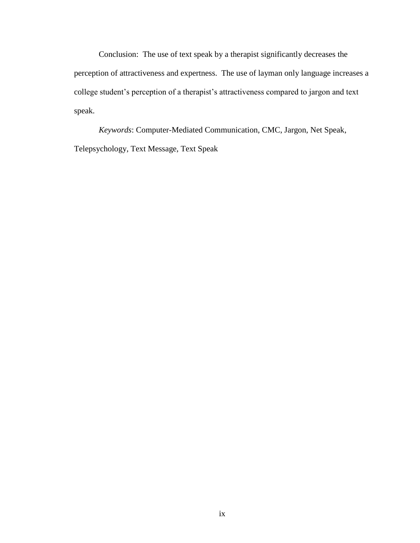Conclusion: The use of text speak by a therapist significantly decreases the perception of attractiveness and expertness. The use of layman only language increases a college student's perception of a therapist's attractiveness compared to jargon and text speak.

*Keywords*: Computer-Mediated Communication, CMC, Jargon, Net Speak, Telepsychology, Text Message, Text Speak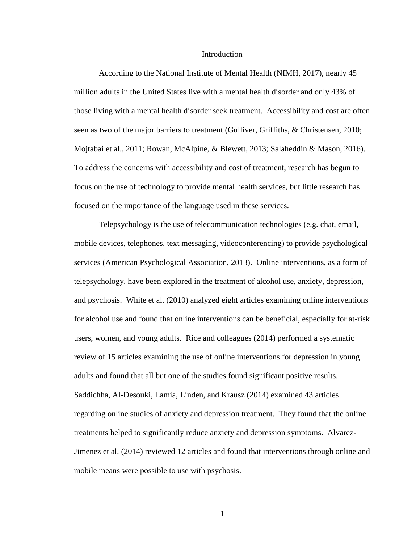#### Introduction

According to the National Institute of Mental Health (NIMH, 2017), nearly 45 million adults in the United States live with a mental health disorder and only 43% of those living with a mental health disorder seek treatment. Accessibility and cost are often seen as two of the major barriers to treatment (Gulliver, Griffiths, & Christensen, 2010; Mojtabai et al., 2011; Rowan, McAlpine, & Blewett, 2013; Salaheddin & Mason, 2016). To address the concerns with accessibility and cost of treatment, research has begun to focus on the use of technology to provide mental health services, but little research has focused on the importance of the language used in these services.

Telepsychology is the use of telecommunication technologies (e.g. chat, email, mobile devices, telephones, text messaging, videoconferencing) to provide psychological services (American Psychological Association, 2013). Online interventions, as a form of telepsychology, have been explored in the treatment of alcohol use, anxiety, depression, and psychosis. White et al. (2010) analyzed eight articles examining online interventions for alcohol use and found that online interventions can be beneficial, especially for at-risk users, women, and young adults. Rice and colleagues (2014) performed a systematic review of 15 articles examining the use of online interventions for depression in young adults and found that all but one of the studies found significant positive results. Saddichha, Al-Desouki, Lamia, Linden, and Krausz (2014) examined 43 articles regarding online studies of anxiety and depression treatment. They found that the online treatments helped to significantly reduce anxiety and depression symptoms. Alvarez-Jimenez et al. (2014) reviewed 12 articles and found that interventions through online and mobile means were possible to use with psychosis.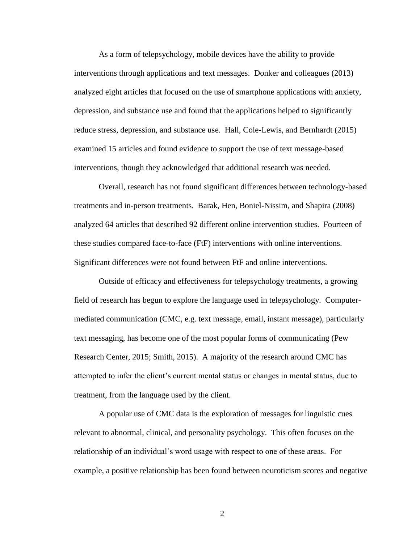As a form of telepsychology, mobile devices have the ability to provide interventions through applications and text messages. Donker and colleagues (2013) analyzed eight articles that focused on the use of smartphone applications with anxiety, depression, and substance use and found that the applications helped to significantly reduce stress, depression, and substance use. Hall, Cole-Lewis, and Bernhardt (2015) examined 15 articles and found evidence to support the use of text message-based interventions, though they acknowledged that additional research was needed.

Overall, research has not found significant differences between technology-based treatments and in-person treatments. Barak, Hen, Boniel-Nissim, and Shapira (2008) analyzed 64 articles that described 92 different online intervention studies. Fourteen of these studies compared face-to-face (FtF) interventions with online interventions. Significant differences were not found between FtF and online interventions.

Outside of efficacy and effectiveness for telepsychology treatments, a growing field of research has begun to explore the language used in telepsychology. Computermediated communication (CMC, e.g. text message, email, instant message), particularly text messaging, has become one of the most popular forms of communicating (Pew Research Center, 2015; Smith, 2015). A majority of the research around CMC has attempted to infer the client's current mental status or changes in mental status, due to treatment, from the language used by the client.

A popular use of CMC data is the exploration of messages for linguistic cues relevant to abnormal, clinical, and personality psychology. This often focuses on the relationship of an individual's word usage with respect to one of these areas. For example, a positive relationship has been found between neuroticism scores and negative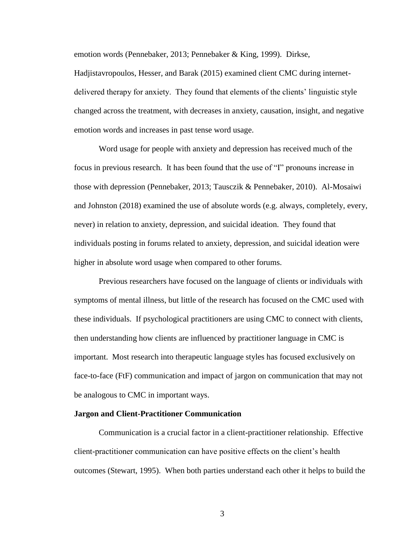emotion words (Pennebaker, 2013; Pennebaker & King, 1999). Dirkse, Hadjistavropoulos, Hesser, and Barak (2015) examined client CMC during internetdelivered therapy for anxiety. They found that elements of the clients' linguistic style changed across the treatment, with decreases in anxiety, causation, insight, and negative emotion words and increases in past tense word usage.

Word usage for people with anxiety and depression has received much of the focus in previous research. It has been found that the use of "I" pronouns increase in those with depression (Pennebaker, 2013; Tausczik & Pennebaker, 2010). Al-Mosaiwi and Johnston (2018) examined the use of absolute words (e.g. always, completely, every, never) in relation to anxiety, depression, and suicidal ideation. They found that individuals posting in forums related to anxiety, depression, and suicidal ideation were higher in absolute word usage when compared to other forums.

Previous researchers have focused on the language of clients or individuals with symptoms of mental illness, but little of the research has focused on the CMC used with these individuals. If psychological practitioners are using CMC to connect with clients, then understanding how clients are influenced by practitioner language in CMC is important. Most research into therapeutic language styles has focused exclusively on face-to-face (FtF) communication and impact of jargon on communication that may not be analogous to CMC in important ways.

#### **Jargon and Client-Practitioner Communication**

Communication is a crucial factor in a client-practitioner relationship. Effective client-practitioner communication can have positive effects on the client's health outcomes (Stewart, 1995). When both parties understand each other it helps to build the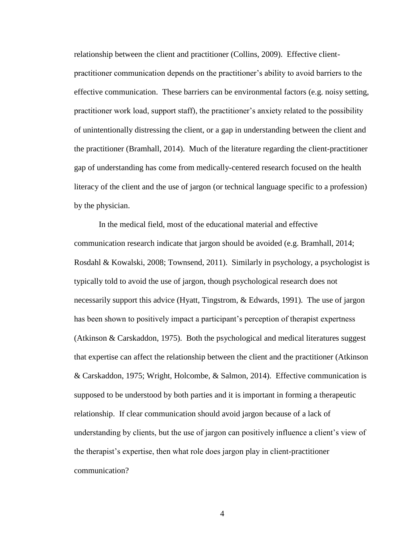relationship between the client and practitioner (Collins, 2009). Effective clientpractitioner communication depends on the practitioner's ability to avoid barriers to the effective communication. These barriers can be environmental factors (e.g. noisy setting, practitioner work load, support staff), the practitioner's anxiety related to the possibility of unintentionally distressing the client, or a gap in understanding between the client and the practitioner (Bramhall, 2014). Much of the literature regarding the client-practitioner gap of understanding has come from medically-centered research focused on the health literacy of the client and the use of jargon (or technical language specific to a profession) by the physician.

In the medical field, most of the educational material and effective communication research indicate that jargon should be avoided (e.g. Bramhall, 2014; Rosdahl & Kowalski, 2008; Townsend, 2011). Similarly in psychology, a psychologist is typically told to avoid the use of jargon, though psychological research does not necessarily support this advice (Hyatt, Tingstrom, & Edwards, 1991). The use of jargon has been shown to positively impact a participant's perception of therapist expertness (Atkinson & Carskaddon, 1975). Both the psychological and medical literatures suggest that expertise can affect the relationship between the client and the practitioner (Atkinson & Carskaddon, 1975; Wright, Holcombe, & Salmon, 2014). Effective communication is supposed to be understood by both parties and it is important in forming a therapeutic relationship. If clear communication should avoid jargon because of a lack of understanding by clients, but the use of jargon can positively influence a client's view of the therapist's expertise, then what role does jargon play in client-practitioner communication?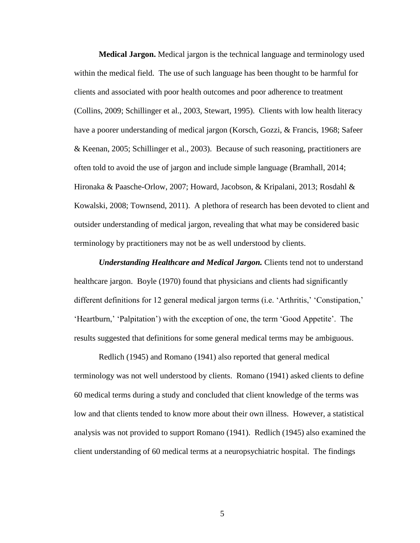**Medical Jargon.** Medical jargon is the technical language and terminology used within the medical field. The use of such language has been thought to be harmful for clients and associated with poor health outcomes and poor adherence to treatment (Collins, 2009; Schillinger et al., 2003, Stewart, 1995). Clients with low health literacy have a poorer understanding of medical jargon (Korsch, Gozzi, & Francis, 1968; Safeer & Keenan, 2005; Schillinger et al., 2003). Because of such reasoning, practitioners are often told to avoid the use of jargon and include simple language (Bramhall, 2014; Hironaka & Paasche-Orlow, 2007; Howard, Jacobson, & Kripalani, 2013; Rosdahl & Kowalski, 2008; Townsend, 2011). A plethora of research has been devoted to client and outsider understanding of medical jargon, revealing that what may be considered basic terminology by practitioners may not be as well understood by clients.

*Understanding Healthcare and Medical Jargon.* Clients tend not to understand healthcare jargon. Boyle (1970) found that physicians and clients had significantly different definitions for 12 general medical jargon terms (i.e. 'Arthritis,' 'Constipation,' 'Heartburn,' 'Palpitation') with the exception of one, the term 'Good Appetite'. The results suggested that definitions for some general medical terms may be ambiguous.

Redlich (1945) and Romano (1941) also reported that general medical terminology was not well understood by clients. Romano (1941) asked clients to define 60 medical terms during a study and concluded that client knowledge of the terms was low and that clients tended to know more about their own illness. However, a statistical analysis was not provided to support Romano (1941). Redlich (1945) also examined the client understanding of 60 medical terms at a neuropsychiatric hospital. The findings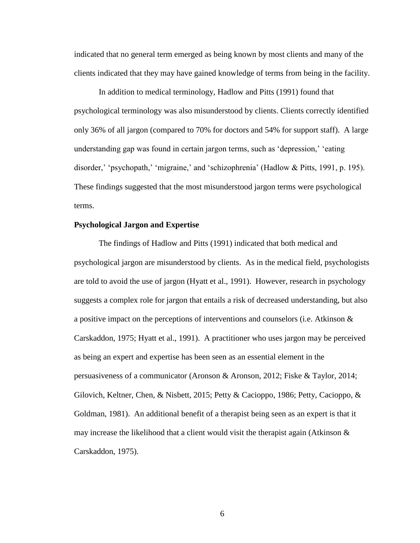indicated that no general term emerged as being known by most clients and many of the clients indicated that they may have gained knowledge of terms from being in the facility.

In addition to medical terminology, Hadlow and Pitts (1991) found that psychological terminology was also misunderstood by clients. Clients correctly identified only 36% of all jargon (compared to 70% for doctors and 54% for support staff). A large understanding gap was found in certain jargon terms, such as 'depression,' 'eating disorder,' 'psychopath,' 'migraine,' and 'schizophrenia' (Hadlow & Pitts, 1991, p. 195). These findings suggested that the most misunderstood jargon terms were psychological terms.

## **Psychological Jargon and Expertise**

The findings of Hadlow and Pitts (1991) indicated that both medical and psychological jargon are misunderstood by clients. As in the medical field, psychologists are told to avoid the use of jargon (Hyatt et al., 1991). However, research in psychology suggests a complex role for jargon that entails a risk of decreased understanding, but also a positive impact on the perceptions of interventions and counselors (i.e. Atkinson & Carskaddon, 1975; Hyatt et al., 1991). A practitioner who uses jargon may be perceived as being an expert and expertise has been seen as an essential element in the persuasiveness of a communicator (Aronson & Aronson, 2012; Fiske & Taylor, 2014; Gilovich, Keltner, Chen, & Nisbett, 2015; Petty & Cacioppo, 1986; Petty, Cacioppo, & Goldman, 1981). An additional benefit of a therapist being seen as an expert is that it may increase the likelihood that a client would visit the therapist again (Atkinson  $\&$ Carskaddon, 1975).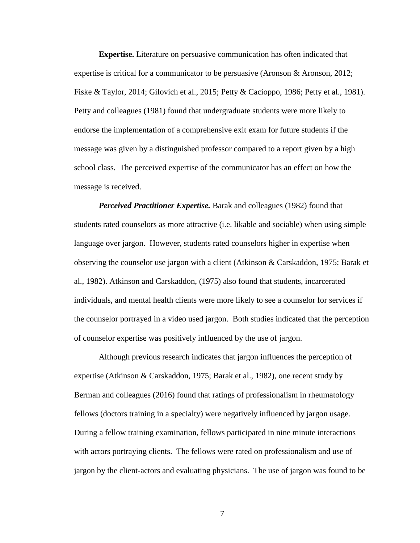**Expertise.** Literature on persuasive communication has often indicated that expertise is critical for a communicator to be persuasive (Aronson  $\&$  Aronson, 2012; Fiske & Taylor, 2014; Gilovich et al., 2015; Petty & Cacioppo, 1986; Petty et al., 1981). Petty and colleagues (1981) found that undergraduate students were more likely to endorse the implementation of a comprehensive exit exam for future students if the message was given by a distinguished professor compared to a report given by a high school class. The perceived expertise of the communicator has an effect on how the message is received.

*Perceived Practitioner Expertise.* Barak and colleagues (1982) found that students rated counselors as more attractive (i.e. likable and sociable) when using simple language over jargon. However, students rated counselors higher in expertise when observing the counselor use jargon with a client (Atkinson & Carskaddon, 1975; Barak et al., 1982). Atkinson and Carskaddon, (1975) also found that students, incarcerated individuals, and mental health clients were more likely to see a counselor for services if the counselor portrayed in a video used jargon. Both studies indicated that the perception of counselor expertise was positively influenced by the use of jargon.

Although previous research indicates that jargon influences the perception of expertise (Atkinson & Carskaddon, 1975; Barak et al., 1982), one recent study by Berman and colleagues (2016) found that ratings of professionalism in rheumatology fellows (doctors training in a specialty) were negatively influenced by jargon usage. During a fellow training examination, fellows participated in nine minute interactions with actors portraying clients. The fellows were rated on professionalism and use of jargon by the client-actors and evaluating physicians. The use of jargon was found to be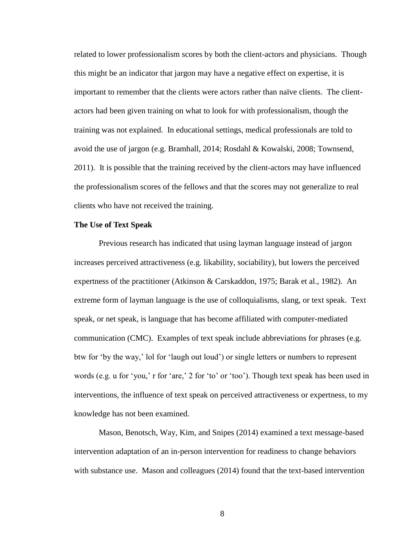related to lower professionalism scores by both the client-actors and physicians. Though this might be an indicator that jargon may have a negative effect on expertise, it is important to remember that the clients were actors rather than naïve clients. The clientactors had been given training on what to look for with professionalism, though the training was not explained. In educational settings, medical professionals are told to avoid the use of jargon (e.g. Bramhall, 2014; Rosdahl & Kowalski, 2008; Townsend, 2011). It is possible that the training received by the client-actors may have influenced the professionalism scores of the fellows and that the scores may not generalize to real clients who have not received the training.

#### **The Use of Text Speak**

Previous research has indicated that using layman language instead of jargon increases perceived attractiveness (e.g. likability, sociability), but lowers the perceived expertness of the practitioner (Atkinson & Carskaddon, 1975; Barak et al., 1982). An extreme form of layman language is the use of colloquialisms, slang, or text speak. Text speak, or net speak, is language that has become affiliated with computer-mediated communication (CMC). Examples of text speak include abbreviations for phrases (e.g. btw for 'by the way,' lol for 'laugh out loud') or single letters or numbers to represent words (e.g. u for 'you,' r for 'are,' 2 for 'to' or 'too'). Though text speak has been used in interventions, the influence of text speak on perceived attractiveness or expertness, to my knowledge has not been examined.

Mason, Benotsch, Way, Kim, and Snipes (2014) examined a text message-based intervention adaptation of an in-person intervention for readiness to change behaviors with substance use. Mason and colleagues (2014) found that the text-based intervention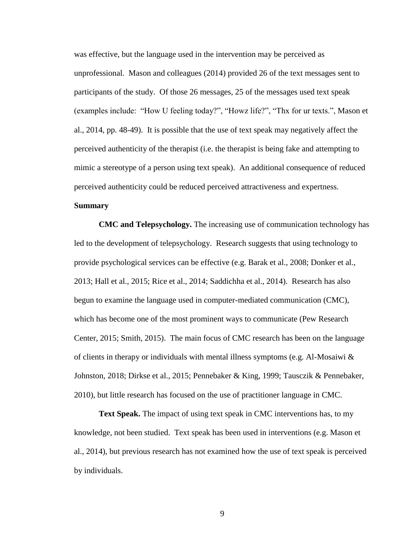was effective, but the language used in the intervention may be perceived as unprofessional. Mason and colleagues (2014) provided 26 of the text messages sent to participants of the study. Of those 26 messages, 25 of the messages used text speak (examples include: "How U feeling today?", "Howz life?", "Thx for ur texts.", Mason et al., 2014, pp. 48-49). It is possible that the use of text speak may negatively affect the perceived authenticity of the therapist (i.e. the therapist is being fake and attempting to mimic a stereotype of a person using text speak). An additional consequence of reduced perceived authenticity could be reduced perceived attractiveness and expertness.

# **Summary**

**CMC and Telepsychology.** The increasing use of communication technology has led to the development of telepsychology. Research suggests that using technology to provide psychological services can be effective (e.g. Barak et al., 2008; Donker et al., 2013; Hall et al., 2015; Rice et al., 2014; Saddichha et al., 2014). Research has also begun to examine the language used in computer-mediated communication (CMC), which has become one of the most prominent ways to communicate (Pew Research Center, 2015; Smith, 2015). The main focus of CMC research has been on the language of clients in therapy or individuals with mental illness symptoms (e.g. Al-Mosaiwi  $\&$ Johnston, 2018; Dirkse et al., 2015; Pennebaker & King, 1999; Tausczik & Pennebaker, 2010), but little research has focused on the use of practitioner language in CMC.

**Text Speak.** The impact of using text speak in CMC interventions has, to my knowledge, not been studied. Text speak has been used in interventions (e.g. Mason et al., 2014), but previous research has not examined how the use of text speak is perceived by individuals.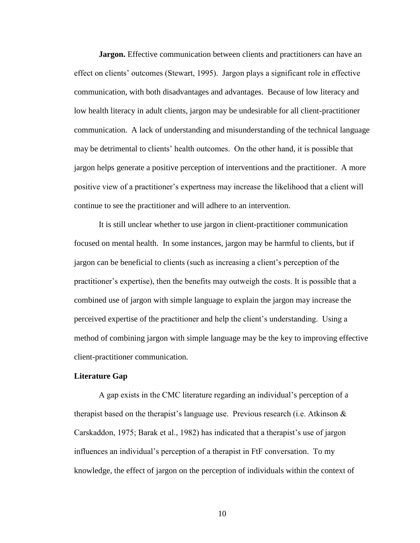**Jargon.** Effective communication between clients and practitioners can have an effect on clients' outcomes (Stewart, 1995). Jargon plays a significant role in effective communication, with both disadvantages and advantages. Because of low literacy and low health literacy in adult clients, jargon may be undesirable for all client-practitioner communication. A lack of understanding and misunderstanding of the technical language may be detrimental to clients' health outcomes. On the other hand, it is possible that jargon helps generate a positive perception of interventions and the practitioner. A more positive view of a practitioner's expertness may increase the likelihood that a client will continue to see the practitioner and will adhere to an intervention.

It is still unclear whether to use jargon in client-practitioner communication focused on mental health. In some instances, jargon may be harmful to clients, but if jargon can be beneficial to clients (such as increasing a client's perception of the practitioner's expertise), then the benefits may outweigh the costs. It is possible that a combined use of jargon with simple language to explain the jargon may increase the perceived expertise of the practitioner and help the client's understanding. Using a method of combining jargon with simple language may be the key to improving effective client-practitioner communication.

#### **Literature Gap**

A gap exists in the CMC literature regarding an individual's perception of a therapist based on the therapist's language use. Previous research (i.e. Atkinson  $\&$ Carskaddon, 1975; Barak et al., 1982) has indicated that a therapist's use of jargon influences an individual's perception of a therapist in FtF conversation. To my knowledge, the effect of jargon on the perception of individuals within the context of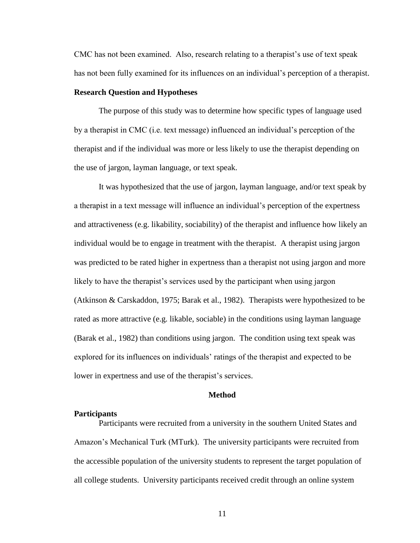CMC has not been examined. Also, research relating to a therapist's use of text speak has not been fully examined for its influences on an individual's perception of a therapist.

#### **Research Question and Hypotheses**

The purpose of this study was to determine how specific types of language used by a therapist in CMC (i.e. text message) influenced an individual's perception of the therapist and if the individual was more or less likely to use the therapist depending on the use of jargon, layman language, or text speak.

It was hypothesized that the use of jargon, layman language, and/or text speak by a therapist in a text message will influence an individual's perception of the expertness and attractiveness (e.g. likability, sociability) of the therapist and influence how likely an individual would be to engage in treatment with the therapist. A therapist using jargon was predicted to be rated higher in expertness than a therapist not using jargon and more likely to have the therapist's services used by the participant when using jargon (Atkinson & Carskaddon, 1975; Barak et al., 1982). Therapists were hypothesized to be rated as more attractive (e.g. likable, sociable) in the conditions using layman language (Barak et al., 1982) than conditions using jargon. The condition using text speak was explored for its influences on individuals' ratings of the therapist and expected to be lower in expertness and use of the therapist's services.

#### **Method**

#### **Participants**

Participants were recruited from a university in the southern United States and Amazon's Mechanical Turk (MTurk). The university participants were recruited from the accessible population of the university students to represent the target population of all college students. University participants received credit through an online system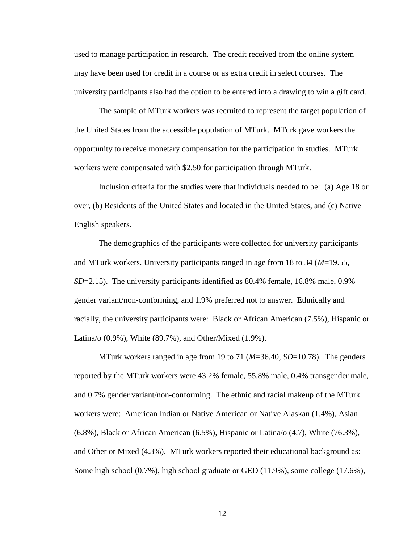used to manage participation in research. The credit received from the online system may have been used for credit in a course or as extra credit in select courses. The university participants also had the option to be entered into a drawing to win a gift card.

The sample of MTurk workers was recruited to represent the target population of the United States from the accessible population of MTurk. MTurk gave workers the opportunity to receive monetary compensation for the participation in studies. MTurk workers were compensated with \$2.50 for participation through MTurk.

Inclusion criteria for the studies were that individuals needed to be: (a) Age 18 or over, (b) Residents of the United States and located in the United States, and (c) Native English speakers.

The demographics of the participants were collected for university participants and MTurk workers. University participants ranged in age from 18 to 34 (*M*=19.55, *SD*=2.15). The university participants identified as 80.4% female, 16.8% male, 0.9% gender variant/non-conforming, and 1.9% preferred not to answer. Ethnically and racially, the university participants were: Black or African American (7.5%), Hispanic or Latina/o (0.9%), White (89.7%), and Other/Mixed (1.9%).

MTurk workers ranged in age from 19 to 71 (*M*=36.40, *SD*=10.78). The genders reported by the MTurk workers were 43.2% female, 55.8% male, 0.4% transgender male, and 0.7% gender variant/non-conforming. The ethnic and racial makeup of the MTurk workers were: American Indian or Native American or Native Alaskan (1.4%), Asian (6.8%), Black or African American (6.5%), Hispanic or Latina/o (4.7), White (76.3%), and Other or Mixed (4.3%). MTurk workers reported their educational background as: Some high school (0.7%), high school graduate or GED (11.9%), some college (17.6%),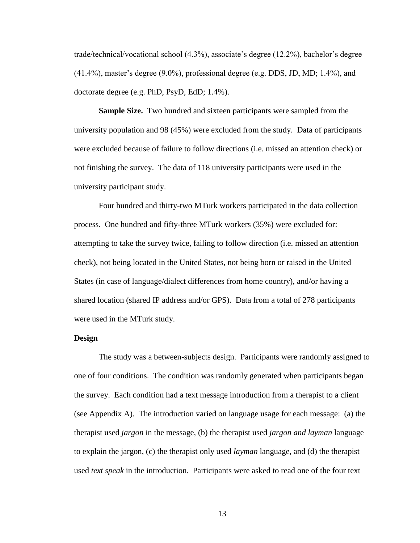trade/technical/vocational school (4.3%), associate's degree (12.2%), bachelor's degree (41.4%), master's degree (9.0%), professional degree (e.g. DDS, JD, MD; 1.4%), and doctorate degree (e.g. PhD, PsyD, EdD; 1.4%).

**Sample Size.** Two hundred and sixteen participants were sampled from the university population and 98 (45%) were excluded from the study. Data of participants were excluded because of failure to follow directions (i.e. missed an attention check) or not finishing the survey. The data of 118 university participants were used in the university participant study.

Four hundred and thirty-two MTurk workers participated in the data collection process. One hundred and fifty-three MTurk workers (35%) were excluded for: attempting to take the survey twice, failing to follow direction (i.e. missed an attention check), not being located in the United States, not being born or raised in the United States (in case of language/dialect differences from home country), and/or having a shared location (shared IP address and/or GPS). Data from a total of 278 participants were used in the MTurk study.

## **Design**

The study was a between-subjects design. Participants were randomly assigned to one of four conditions. The condition was randomly generated when participants began the survey. Each condition had a text message introduction from a therapist to a client (see Appendix A). The introduction varied on language usage for each message: (a) the therapist used *jargon* in the message, (b) the therapist used *jargon and layman* language to explain the jargon, (c) the therapist only used *layman* language, and (d) the therapist used *text speak* in the introduction. Participants were asked to read one of the four text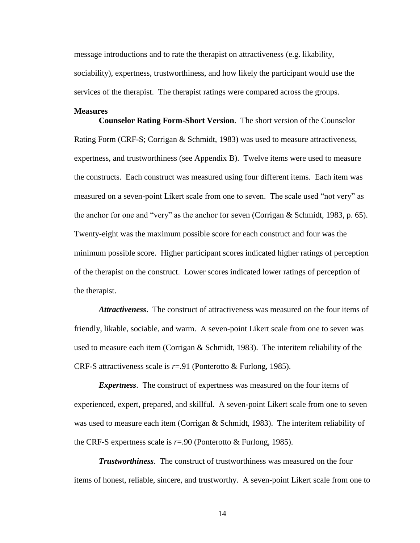message introductions and to rate the therapist on attractiveness (e.g. likability, sociability), expertness, trustworthiness, and how likely the participant would use the services of the therapist. The therapist ratings were compared across the groups.

#### **Measures**

**Counselor Rating Form-Short Version**. The short version of the Counselor Rating Form (CRF-S; Corrigan & Schmidt, 1983) was used to measure attractiveness, expertness, and trustworthiness (see Appendix B). Twelve items were used to measure the constructs. Each construct was measured using four different items. Each item was measured on a seven-point Likert scale from one to seven. The scale used "not very" as the anchor for one and "very" as the anchor for seven (Corrigan & Schmidt, 1983, p. 65). Twenty-eight was the maximum possible score for each construct and four was the minimum possible score. Higher participant scores indicated higher ratings of perception of the therapist on the construct. Lower scores indicated lower ratings of perception of the therapist.

*Attractiveness*. The construct of attractiveness was measured on the four items of friendly, likable, sociable, and warm. A seven-point Likert scale from one to seven was used to measure each item (Corrigan & Schmidt, 1983). The interitem reliability of the CRF-S attractiveness scale is *r*=.91 (Ponterotto & Furlong, 1985).

*Expertness*. The construct of expertness was measured on the four items of experienced, expert, prepared, and skillful. A seven-point Likert scale from one to seven was used to measure each item (Corrigan  $&$  Schmidt, 1983). The interitem reliability of the CRF-S expertness scale is *r*=.90 (Ponterotto & Furlong, 1985).

*Trustworthiness*. The construct of trustworthiness was measured on the four items of honest, reliable, sincere, and trustworthy. A seven-point Likert scale from one to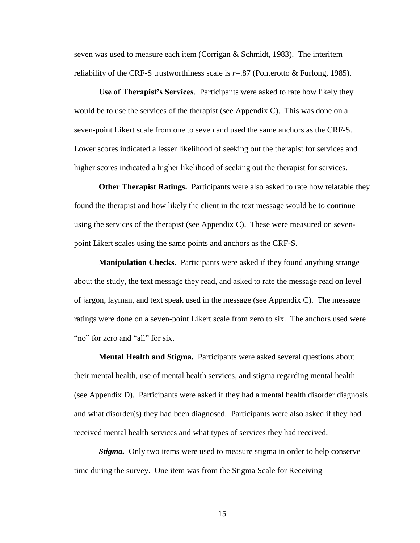seven was used to measure each item (Corrigan  $&$  Schmidt, 1983). The interitem reliability of the CRF-S trustworthiness scale is  $r = .87$  (Ponterotto & Furlong, 1985).

**Use of Therapist's Services**. Participants were asked to rate how likely they would be to use the services of the therapist (see Appendix C). This was done on a seven-point Likert scale from one to seven and used the same anchors as the CRF-S. Lower scores indicated a lesser likelihood of seeking out the therapist for services and higher scores indicated a higher likelihood of seeking out the therapist for services.

**Other Therapist Ratings.** Participants were also asked to rate how relatable they found the therapist and how likely the client in the text message would be to continue using the services of the therapist (see Appendix C). These were measured on sevenpoint Likert scales using the same points and anchors as the CRF-S.

**Manipulation Checks**. Participants were asked if they found anything strange about the study, the text message they read, and asked to rate the message read on level of jargon, layman, and text speak used in the message (see Appendix C). The message ratings were done on a seven-point Likert scale from zero to six. The anchors used were "no" for zero and "all" for six.

**Mental Health and Stigma.** Participants were asked several questions about their mental health, use of mental health services, and stigma regarding mental health (see Appendix D). Participants were asked if they had a mental health disorder diagnosis and what disorder(s) they had been diagnosed. Participants were also asked if they had received mental health services and what types of services they had received.

*Stigma.* Only two items were used to measure stigma in order to help conserve time during the survey. One item was from the Stigma Scale for Receiving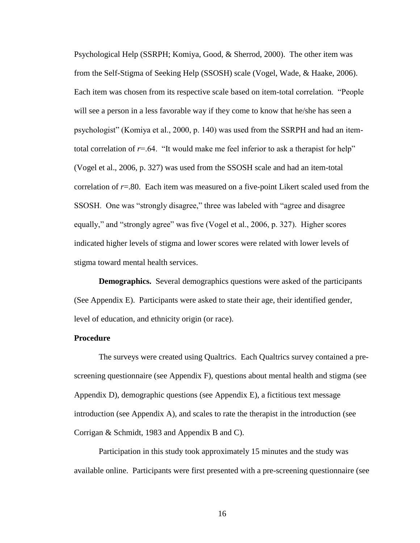Psychological Help (SSRPH; Komiya, Good, & Sherrod, 2000). The other item was from the Self-Stigma of Seeking Help (SSOSH) scale (Vogel, Wade, & Haake, 2006). Each item was chosen from its respective scale based on item-total correlation. "People will see a person in a less favorable way if they come to know that he/she has seen a psychologist" (Komiya et al., 2000, p. 140) was used from the SSRPH and had an itemtotal correlation of  $r=0.64$ . "It would make me feel inferior to ask a therapist for help" (Vogel et al., 2006, p. 327) was used from the SSOSH scale and had an item-total correlation of *r*=.80. Each item was measured on a five-point Likert scaled used from the SSOSH. One was "strongly disagree," three was labeled with "agree and disagree equally," and "strongly agree" was five (Vogel et al., 2006, p. 327). Higher scores indicated higher levels of stigma and lower scores were related with lower levels of stigma toward mental health services.

**Demographics.** Several demographics questions were asked of the participants (See Appendix E). Participants were asked to state their age, their identified gender, level of education, and ethnicity origin (or race).

#### **Procedure**

The surveys were created using Qualtrics. Each Qualtrics survey contained a prescreening questionnaire (see Appendix F), questions about mental health and stigma (see Appendix D), demographic questions (see Appendix E), a fictitious text message introduction (see Appendix A), and scales to rate the therapist in the introduction (see Corrigan & Schmidt, 1983 and Appendix B and C).

Participation in this study took approximately 15 minutes and the study was available online. Participants were first presented with a pre-screening questionnaire (see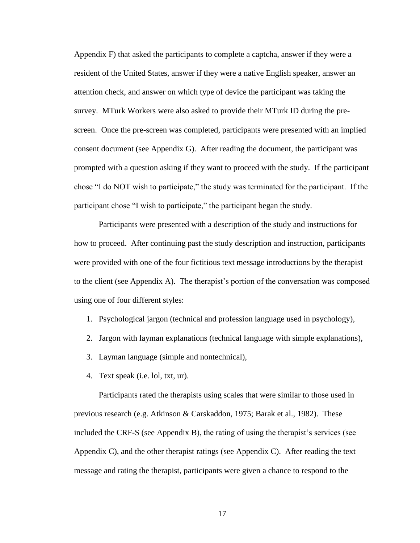Appendix F) that asked the participants to complete a captcha, answer if they were a resident of the United States, answer if they were a native English speaker, answer an attention check, and answer on which type of device the participant was taking the survey. MTurk Workers were also asked to provide their MTurk ID during the prescreen. Once the pre-screen was completed, participants were presented with an implied consent document (see Appendix G). After reading the document, the participant was prompted with a question asking if they want to proceed with the study. If the participant chose "I do NOT wish to participate," the study was terminated for the participant. If the participant chose "I wish to participate," the participant began the study.

Participants were presented with a description of the study and instructions for how to proceed. After continuing past the study description and instruction, participants were provided with one of the four fictitious text message introductions by the therapist to the client (see Appendix A). The therapist's portion of the conversation was composed using one of four different styles:

- 1. Psychological jargon (technical and profession language used in psychology),
- 2. Jargon with layman explanations (technical language with simple explanations),
- 3. Layman language (simple and nontechnical),
- 4. Text speak (i.e. lol, txt, ur).

Participants rated the therapists using scales that were similar to those used in previous research (e.g. Atkinson & Carskaddon, 1975; Barak et al., 1982). These included the CRF-S (see Appendix B), the rating of using the therapist's services (see Appendix C), and the other therapist ratings (see Appendix C). After reading the text message and rating the therapist, participants were given a chance to respond to the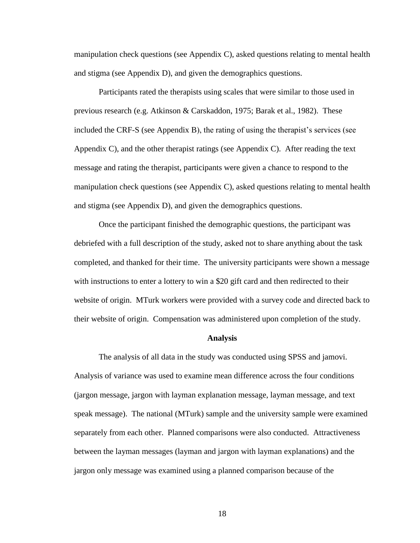manipulation check questions (see Appendix C), asked questions relating to mental health and stigma (see Appendix D), and given the demographics questions.

Participants rated the therapists using scales that were similar to those used in previous research (e.g. Atkinson & Carskaddon, 1975; Barak et al., 1982). These included the CRF-S (see Appendix B), the rating of using the therapist's services (see Appendix C), and the other therapist ratings (see Appendix C). After reading the text message and rating the therapist, participants were given a chance to respond to the manipulation check questions (see Appendix C), asked questions relating to mental health and stigma (see Appendix D), and given the demographics questions.

Once the participant finished the demographic questions, the participant was debriefed with a full description of the study, asked not to share anything about the task completed, and thanked for their time. The university participants were shown a message with instructions to enter a lottery to win a \$20 gift card and then redirected to their website of origin. MTurk workers were provided with a survey code and directed back to their website of origin. Compensation was administered upon completion of the study.

#### **Analysis**

The analysis of all data in the study was conducted using SPSS and jamovi. Analysis of variance was used to examine mean difference across the four conditions (jargon message, jargon with layman explanation message, layman message, and text speak message). The national (MTurk) sample and the university sample were examined separately from each other. Planned comparisons were also conducted. Attractiveness between the layman messages (layman and jargon with layman explanations) and the jargon only message was examined using a planned comparison because of the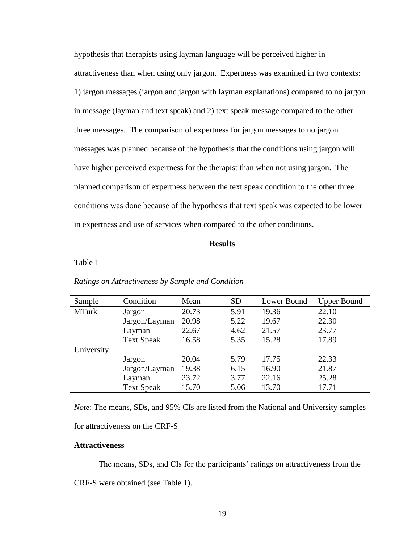hypothesis that therapists using layman language will be perceived higher in attractiveness than when using only jargon. Expertness was examined in two contexts: 1) jargon messages (jargon and jargon with layman explanations) compared to no jargon in message (layman and text speak) and 2) text speak message compared to the other three messages. The comparison of expertness for jargon messages to no jargon messages was planned because of the hypothesis that the conditions using jargon will have higher perceived expertness for the therapist than when not using jargon. The planned comparison of expertness between the text speak condition to the other three conditions was done because of the hypothesis that text speak was expected to be lower in expertness and use of services when compared to the other conditions.

#### **Results**

# Table 1

| Sample       | Condition         | Mean  | <b>SD</b> | Lower Bound | <b>Upper Bound</b> |
|--------------|-------------------|-------|-----------|-------------|--------------------|
| <b>MTurk</b> | Jargon            | 20.73 | 5.91      | 19.36       | 22.10              |
|              | Jargon/Layman     | 20.98 | 5.22      | 19.67       | 22.30              |
|              | Layman            | 22.67 | 4.62      | 21.57       | 23.77              |
|              | <b>Text Speak</b> | 16.58 | 5.35      | 15.28       | 17.89              |
| University   |                   |       |           |             |                    |
|              | Jargon            | 20.04 | 5.79      | 17.75       | 22.33              |
|              | Jargon/Layman     | 19.38 | 6.15      | 16.90       | 21.87              |
|              | Layman            | 23.72 | 3.77      | 22.16       | 25.28              |
|              | <b>Text Speak</b> | 15.70 | 5.06      | 13.70       | 17.71              |

#### *Ratings on Attractiveness by Sample and Condition*

*Note*: The means, SDs, and 95% CIs are listed from the National and University samples for attractiveness on the CRF-S

## **Attractiveness**

The means, SDs, and CIs for the participants' ratings on attractiveness from the CRF-S were obtained (see Table 1).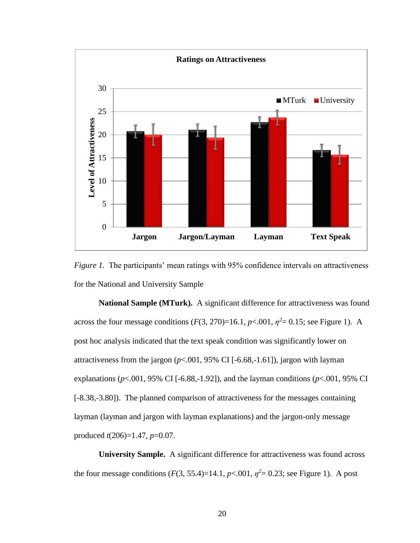

*Figure 1.* The participants' mean ratings with 95% confidence intervals on attractiveness for the National and University Sample

**National Sample (MTurk).** A significant difference for attractiveness was found across the four message conditions  $(F(3, 270)=16.1, p<.001, \eta^2=0.15$ ; see Figure 1). A post hoc analysis indicated that the text speak condition was significantly lower on attractiveness from the jargon  $(p<.001, 95\% \text{ CI}$  [-6.68,-1.61]), jargon with layman explanations ( $p$ <.001, 95% CI [-6.88,-1.92]), and the layman conditions ( $p$ <.001, 95% CI [-8.38,-3.80]). The planned comparison of attractiveness for the messages containing layman (layman and jargon with layman explanations) and the jargon-only message produced *t*(206)=1.47, *p*=0.07.

**University Sample.** A significant difference for attractiveness was found across the four message conditions  $(F(3, 55.4)=14.1, p<.001, \eta^2=0.23$ ; see Figure 1). A post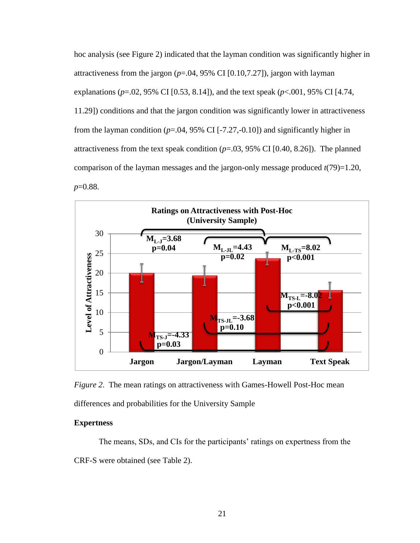hoc analysis (see Figure 2) indicated that the layman condition was significantly higher in attractiveness from the jargon  $(p=.04, 95\% \text{ CI} [0.10, 7.27])$ , jargon with layman explanations (*p*=.02, 95% CI [0.53, 8.14]), and the text speak (*p*<.001, 95% CI [4.74, 11.29]) conditions and that the jargon condition was significantly lower in attractiveness from the layman condition  $(p=.04, 95\% \text{ CI}$  [-7.27,-0.10]) and significantly higher in attractiveness from the text speak condition  $(p=.03, 95\% \text{ CI} [0.40, 8.26])$ . The planned comparison of the layman messages and the jargon-only message produced *t*(79)=1.20, *p*=0.88.



*Figure 2*. The mean ratings on attractiveness with Games-Howell Post-Hoc mean differences and probabilities for the University Sample

# **Expertness**

The means, SDs, and CIs for the participants' ratings on expertness from the CRF-S were obtained (see Table 2).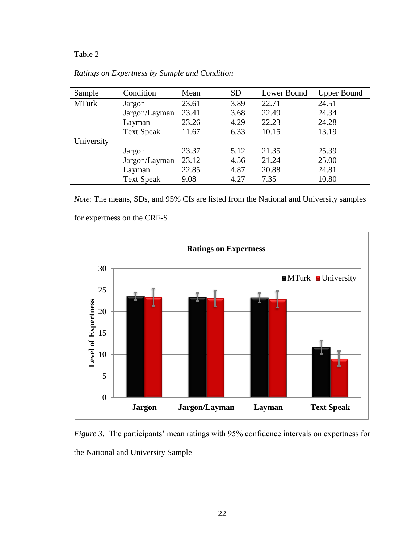# Table 2

| Sample       | Condition         | Mean  | <b>SD</b> | Lower Bound | <b>Upper Bound</b> |
|--------------|-------------------|-------|-----------|-------------|--------------------|
| <b>MTurk</b> | Jargon            | 23.61 | 3.89      | 22.71       | 24.51              |
|              | Jargon/Layman     | 23.41 | 3.68      | 22.49       | 24.34              |
|              | Layman            | 23.26 | 4.29      | 22.23       | 24.28              |
|              | <b>Text Speak</b> | 11.67 | 6.33      | 10.15       | 13.19              |
| University   |                   |       |           |             |                    |
|              | Jargon            | 23.37 | 5.12      | 21.35       | 25.39              |
|              | Jargon/Layman     | 23.12 | 4.56      | 21.24       | 25.00              |
|              | Layman            | 22.85 | 4.87      | 20.88       | 24.81              |
|              | <b>Text Speak</b> | 9.08  | 4.27      | 7.35        | 10.80              |

*Ratings on Expertness by Sample and Condition*

*Note*: The means, SDs, and 95% CIs are listed from the National and University samples

for expertness on the CRF-S



*Figure 3.* The participants' mean ratings with 95% confidence intervals on expertness for the National and University Sample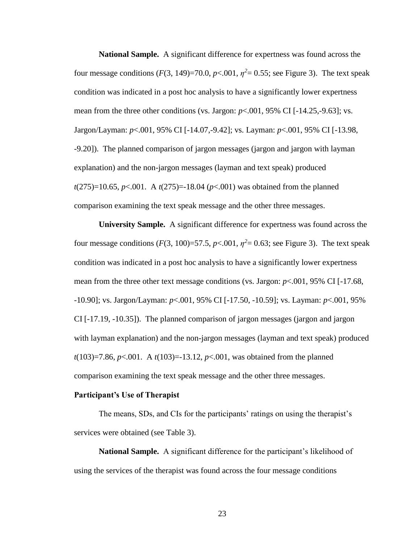**National Sample.** A significant difference for expertness was found across the four message conditions  $(F(3, 149)=70.0, p<.001, \eta^2=0.55$ ; see Figure 3). The text speak condition was indicated in a post hoc analysis to have a significantly lower expertness mean from the three other conditions (vs. Jargon:  $p<.001$ , 95% CI [-14.25,-9.63]; vs. Jargon/Layman: *p*<.001, 95% CI [-14.07,-9.42]; vs. Layman: *p*<.001, 95% CI [-13.98, -9.20]). The planned comparison of jargon messages (jargon and jargon with layman explanation) and the non-jargon messages (layman and text speak) produced *t*(275)=10.65, *p*<.001. A *t*(275)=-18.04 (*p*<.001) was obtained from the planned comparison examining the text speak message and the other three messages.

**University Sample.** A significant difference for expertness was found across the four message conditions  $(F(3, 100)=57.5, p<.001, \eta^2=0.63$ ; see Figure 3). The text speak condition was indicated in a post hoc analysis to have a significantly lower expertness mean from the three other text message conditions (vs. Jargon: *p*<.001, 95% CI [-17.68, -10.90]; vs. Jargon/Layman: *p*<.001, 95% CI [-17.50, -10.59]; vs. Layman: *p*<.001, 95% CI [-17.19, -10.35]). The planned comparison of jargon messages (jargon and jargon with layman explanation) and the non-jargon messages (layman and text speak) produced *t*(103)=7.86, *p*<.001. A *t*(103)=-13.12, *p*<.001, was obtained from the planned comparison examining the text speak message and the other three messages.

#### **Participant's Use of Therapist**

The means, SDs, and CIs for the participants' ratings on using the therapist's services were obtained (see Table 3).

**National Sample.** A significant difference for the participant's likelihood of using the services of the therapist was found across the four message conditions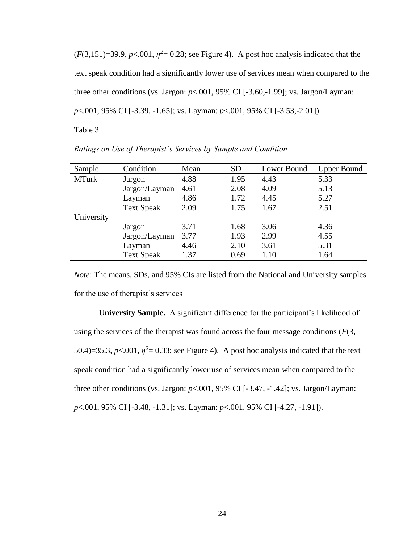$(F(3,151)=39.9, p<.001, \eta^2=0.28$ ; see Figure 4). A post hoc analysis indicated that the text speak condition had a significantly lower use of services mean when compared to the three other conditions (vs. Jargon: *p*<.001, 95% CI [-3.60,-1.99]; vs. Jargon/Layman: *p*<.001, 95% CI [-3.39, -1.65]; vs. Layman: *p*<.001, 95% CI [-3.53,-2.01]).

Table 3

| Sample       | Condition         | Mean | <b>SD</b> | Lower Bound | <b>Upper Bound</b> |
|--------------|-------------------|------|-----------|-------------|--------------------|
| <b>MTurk</b> | Jargon            | 4.88 | 1.95      | 4.43        | 5.33               |
|              | Jargon/Layman     | 4.61 | 2.08      | 4.09        | 5.13               |
|              | Layman            | 4.86 | 1.72      | 4.45        | 5.27               |
|              | <b>Text Speak</b> | 2.09 | 1.75      | 1.67        | 2.51               |
| University   |                   |      |           |             |                    |
|              | Jargon            | 3.71 | 1.68      | 3.06        | 4.36               |
|              | Jargon/Layman     | 3.77 | 1.93      | 2.99        | 4.55               |
|              | Layman            | 4.46 | 2.10      | 3.61        | 5.31               |
|              | <b>Text Speak</b> | 1.37 | 0.69      | 1.10        | 1.64               |

*Ratings on Use of Therapist's Services by Sample and Condition*

*Note*: The means, SDs, and 95% CIs are listed from the National and University samples for the use of therapist's services

**University Sample.** A significant difference for the participant's likelihood of using the services of the therapist was found across the four message conditions (*F*(3, 50.4)=35.3,  $p<.001$ ,  $\eta^2$ = 0.33; see Figure 4). A post hoc analysis indicated that the text speak condition had a significantly lower use of services mean when compared to the three other conditions (vs. Jargon:  $p<.001$ , 95% CI [-3.47, -1.42]; vs. Jargon/Layman: *p*<.001, 95% CI [-3.48, -1.31]; vs. Layman: *p*<.001, 95% CI [-4.27, -1.91]).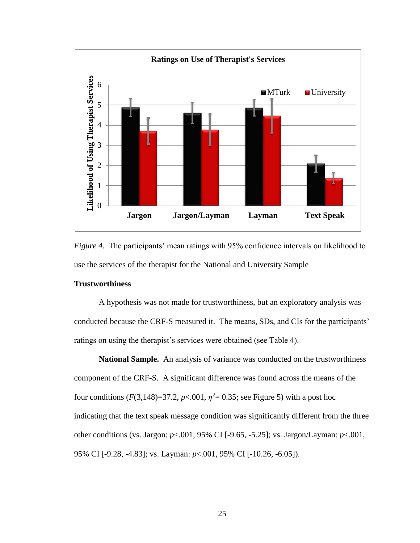

*Figure 4.* The participants' mean ratings with 95% confidence intervals on likelihood to use the services of the therapist for the National and University Sample

# **Trustworthiness**

A hypothesis was not made for trustworthiness, but an exploratory analysis was conducted because the CRF-S measured it. The means, SDs, and CIs for the participants' ratings on using the therapist's services were obtained (see Table 4).

**National Sample.** An analysis of variance was conducted on the trustworthiness component of the CRF-S. A significant difference was found across the means of the four conditions  $(F(3, 148)=37.2, p<.001, \eta^2=0.35$ ; see Figure 5) with a post hoc indicating that the text speak message condition was significantly different from the three other conditions (vs. Jargon: *p*<.001, 95% CI [-9.65, -5.25]; vs. Jargon/Layman: *p*<.001, 95% CI [-9.28, -4.83]; vs. Layman: *p*<.001, 95% CI [-10.26, -6.05]).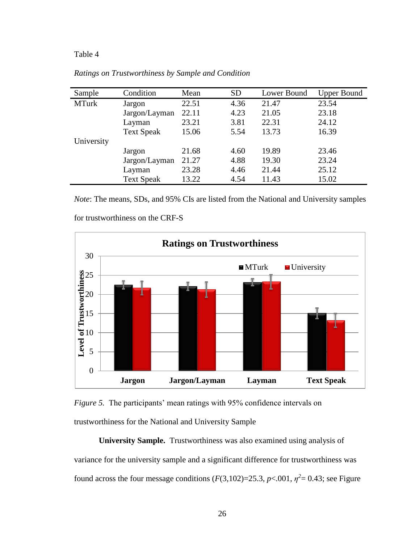# Table 4

| Sample       | Condition         | Mean  | <b>SD</b> | Lower Bound | <b>Upper Bound</b> |
|--------------|-------------------|-------|-----------|-------------|--------------------|
| <b>MTurk</b> | Jargon            | 22.51 | 4.36      | 21.47       | 23.54              |
|              | Jargon/Layman     | 22.11 | 4.23      | 21.05       | 23.18              |
|              | Layman            | 23.21 | 3.81      | 22.31       | 24.12              |
|              | <b>Text Speak</b> | 15.06 | 5.54      | 13.73       | 16.39              |
| University   |                   |       |           |             |                    |
|              | Jargon            | 21.68 | 4.60      | 19.89       | 23.46              |
|              | Jargon/Layman     | 21.27 | 4.88      | 19.30       | 23.24              |
|              | Layman            | 23.28 | 4.46      | 21.44       | 25.12              |
|              | <b>Text Speak</b> | 13.22 | 4.54      | 11.43       | 15.02              |

*Ratings on Trustworthiness by Sample and Condition*

*Note*: The means, SDs, and 95% CIs are listed from the National and University samples



for trustworthiness on the CRF-S



**University Sample.** Trustworthiness was also examined using analysis of variance for the university sample and a significant difference for trustworthiness was found across the four message conditions  $(F(3,102)=25.3, p<.001, \eta^2=0.43$ ; see Figure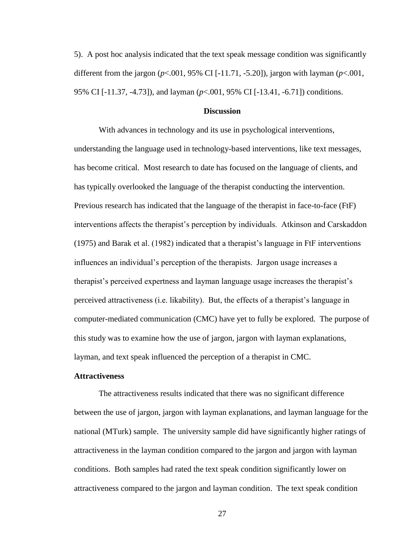5). A post hoc analysis indicated that the text speak message condition was significantly different from the jargon (*p*<.001, 95% CI [-11.71, -5.20]), jargon with layman (*p*<.001, 95% CI [-11.37, -4.73]), and layman (*p*<.001, 95% CI [-13.41, -6.71]) conditions.

#### **Discussion**

With advances in technology and its use in psychological interventions, understanding the language used in technology-based interventions, like text messages, has become critical. Most research to date has focused on the language of clients, and has typically overlooked the language of the therapist conducting the intervention. Previous research has indicated that the language of the therapist in face-to-face (FtF) interventions affects the therapist's perception by individuals. Atkinson and Carskaddon (1975) and Barak et al. (1982) indicated that a therapist's language in FtF interventions influences an individual's perception of the therapists. Jargon usage increases a therapist's perceived expertness and layman language usage increases the therapist's perceived attractiveness (i.e. likability). But, the effects of a therapist's language in computer-mediated communication (CMC) have yet to fully be explored. The purpose of this study was to examine how the use of jargon, jargon with layman explanations, layman, and text speak influenced the perception of a therapist in CMC.

#### **Attractiveness**

The attractiveness results indicated that there was no significant difference between the use of jargon, jargon with layman explanations, and layman language for the national (MTurk) sample. The university sample did have significantly higher ratings of attractiveness in the layman condition compared to the jargon and jargon with layman conditions. Both samples had rated the text speak condition significantly lower on attractiveness compared to the jargon and layman condition. The text speak condition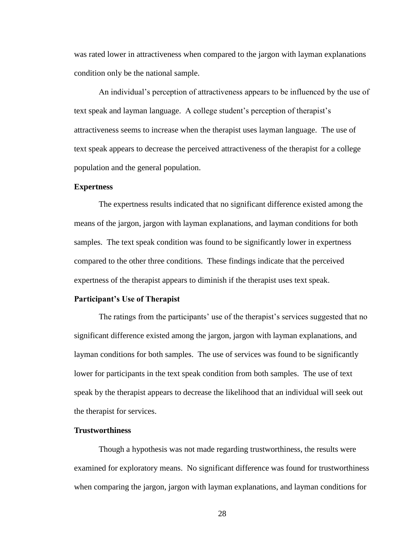was rated lower in attractiveness when compared to the jargon with layman explanations condition only be the national sample.

An individual's perception of attractiveness appears to be influenced by the use of text speak and layman language. A college student's perception of therapist's attractiveness seems to increase when the therapist uses layman language. The use of text speak appears to decrease the perceived attractiveness of the therapist for a college population and the general population.

#### **Expertness**

The expertness results indicated that no significant difference existed among the means of the jargon, jargon with layman explanations, and layman conditions for both samples. The text speak condition was found to be significantly lower in expertness compared to the other three conditions. These findings indicate that the perceived expertness of the therapist appears to diminish if the therapist uses text speak.

#### **Participant's Use of Therapist**

The ratings from the participants' use of the therapist's services suggested that no significant difference existed among the jargon, jargon with layman explanations, and layman conditions for both samples. The use of services was found to be significantly lower for participants in the text speak condition from both samples. The use of text speak by the therapist appears to decrease the likelihood that an individual will seek out the therapist for services.

# **Trustworthiness**

Though a hypothesis was not made regarding trustworthiness, the results were examined for exploratory means. No significant difference was found for trustworthiness when comparing the jargon, jargon with layman explanations, and layman conditions for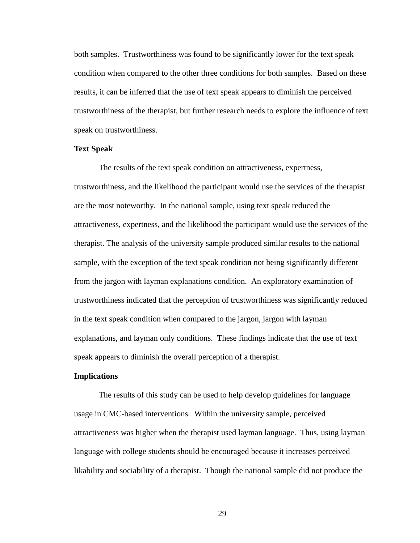both samples. Trustworthiness was found to be significantly lower for the text speak condition when compared to the other three conditions for both samples. Based on these results, it can be inferred that the use of text speak appears to diminish the perceived trustworthiness of the therapist, but further research needs to explore the influence of text speak on trustworthiness.

#### **Text Speak**

The results of the text speak condition on attractiveness, expertness, trustworthiness, and the likelihood the participant would use the services of the therapist are the most noteworthy. In the national sample, using text speak reduced the attractiveness, expertness, and the likelihood the participant would use the services of the therapist. The analysis of the university sample produced similar results to the national sample, with the exception of the text speak condition not being significantly different from the jargon with layman explanations condition. An exploratory examination of trustworthiness indicated that the perception of trustworthiness was significantly reduced in the text speak condition when compared to the jargon, jargon with layman explanations, and layman only conditions. These findings indicate that the use of text speak appears to diminish the overall perception of a therapist.

#### **Implications**

The results of this study can be used to help develop guidelines for language usage in CMC-based interventions. Within the university sample, perceived attractiveness was higher when the therapist used layman language. Thus, using layman language with college students should be encouraged because it increases perceived likability and sociability of a therapist. Though the national sample did not produce the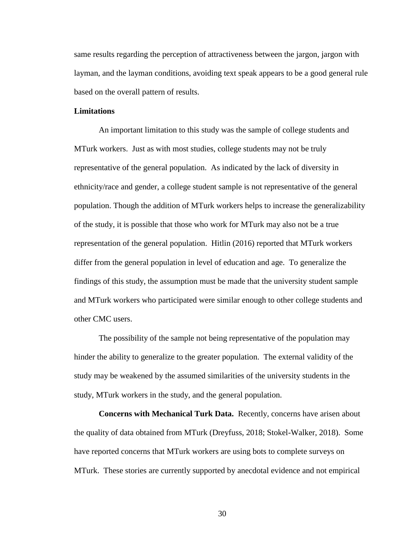same results regarding the perception of attractiveness between the jargon, jargon with layman, and the layman conditions, avoiding text speak appears to be a good general rule based on the overall pattern of results.

#### **Limitations**

An important limitation to this study was the sample of college students and MTurk workers. Just as with most studies, college students may not be truly representative of the general population. As indicated by the lack of diversity in ethnicity/race and gender, a college student sample is not representative of the general population. Though the addition of MTurk workers helps to increase the generalizability of the study, it is possible that those who work for MTurk may also not be a true representation of the general population. Hitlin (2016) reported that MTurk workers differ from the general population in level of education and age. To generalize the findings of this study, the assumption must be made that the university student sample and MTurk workers who participated were similar enough to other college students and other CMC users.

The possibility of the sample not being representative of the population may hinder the ability to generalize to the greater population. The external validity of the study may be weakened by the assumed similarities of the university students in the study, MTurk workers in the study, and the general population.

**Concerns with Mechanical Turk Data.** Recently, concerns have arisen about the quality of data obtained from MTurk (Dreyfuss, 2018; Stokel-Walker, 2018). Some have reported concerns that MTurk workers are using bots to complete surveys on MTurk. These stories are currently supported by anecdotal evidence and not empirical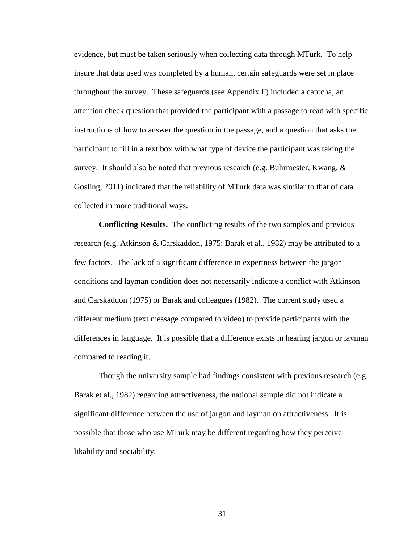evidence, but must be taken seriously when collecting data through MTurk. To help insure that data used was completed by a human, certain safeguards were set in place throughout the survey. These safeguards (see Appendix F) included a captcha, an attention check question that provided the participant with a passage to read with specific instructions of how to answer the question in the passage, and a question that asks the participant to fill in a text box with what type of device the participant was taking the survey. It should also be noted that previous research (e.g. Buhrmester, Kwang, & Gosling, 2011) indicated that the reliability of MTurk data was similar to that of data collected in more traditional ways.

**Conflicting Results.** The conflicting results of the two samples and previous research (e.g. Atkinson & Carskaddon, 1975; Barak et al., 1982) may be attributed to a few factors. The lack of a significant difference in expertness between the jargon conditions and layman condition does not necessarily indicate a conflict with Atkinson and Carskaddon (1975) or Barak and colleagues (1982). The current study used a different medium (text message compared to video) to provide participants with the differences in language. It is possible that a difference exists in hearing jargon or layman compared to reading it.

Though the university sample had findings consistent with previous research (e.g. Barak et al., 1982) regarding attractiveness, the national sample did not indicate a significant difference between the use of jargon and layman on attractiveness. It is possible that those who use MTurk may be different regarding how they perceive likability and sociability.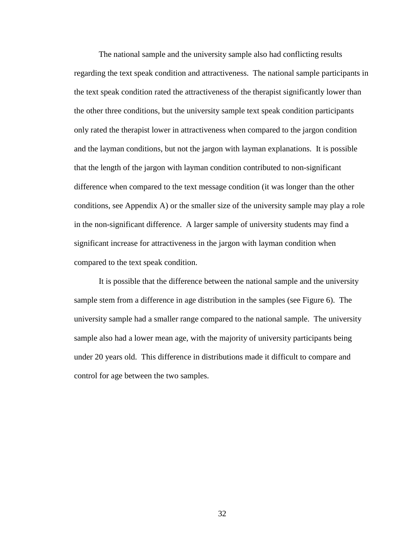The national sample and the university sample also had conflicting results regarding the text speak condition and attractiveness. The national sample participants in the text speak condition rated the attractiveness of the therapist significantly lower than the other three conditions, but the university sample text speak condition participants only rated the therapist lower in attractiveness when compared to the jargon condition and the layman conditions, but not the jargon with layman explanations. It is possible that the length of the jargon with layman condition contributed to non-significant difference when compared to the text message condition (it was longer than the other conditions, see Appendix A) or the smaller size of the university sample may play a role in the non-significant difference. A larger sample of university students may find a significant increase for attractiveness in the jargon with layman condition when compared to the text speak condition.

It is possible that the difference between the national sample and the university sample stem from a difference in age distribution in the samples (see Figure 6). The university sample had a smaller range compared to the national sample. The university sample also had a lower mean age, with the majority of university participants being under 20 years old. This difference in distributions made it difficult to compare and control for age between the two samples.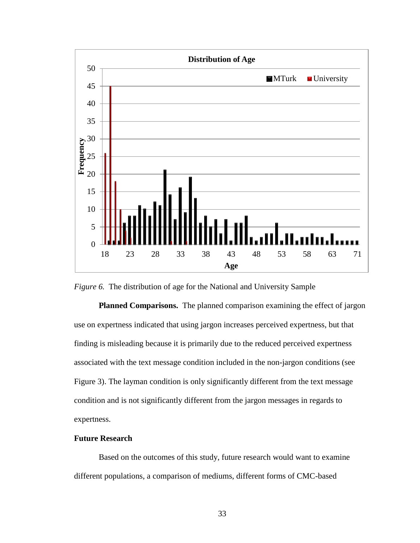

*Figure 6.* The distribution of age for the National and University Sample

**Planned Comparisons.** The planned comparison examining the effect of jargon use on expertness indicated that using jargon increases perceived expertness, but that finding is misleading because it is primarily due to the reduced perceived expertness associated with the text message condition included in the non-jargon conditions (see Figure 3). The layman condition is only significantly different from the text message condition and is not significantly different from the jargon messages in regards to expertness.

# **Future Research**

Based on the outcomes of this study, future research would want to examine different populations, a comparison of mediums, different forms of CMC-based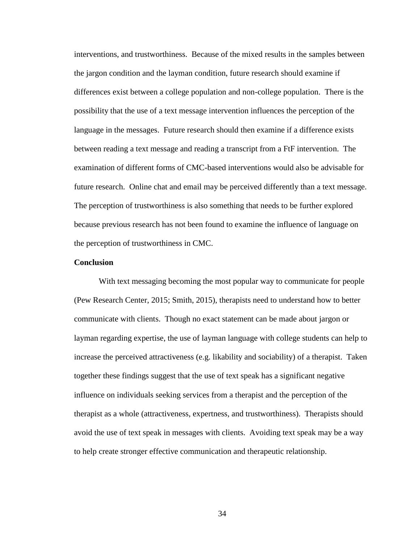interventions, and trustworthiness. Because of the mixed results in the samples between the jargon condition and the layman condition, future research should examine if differences exist between a college population and non-college population. There is the possibility that the use of a text message intervention influences the perception of the language in the messages. Future research should then examine if a difference exists between reading a text message and reading a transcript from a FtF intervention. The examination of different forms of CMC-based interventions would also be advisable for future research. Online chat and email may be perceived differently than a text message. The perception of trustworthiness is also something that needs to be further explored because previous research has not been found to examine the influence of language on the perception of trustworthiness in CMC.

#### **Conclusion**

With text messaging becoming the most popular way to communicate for people (Pew Research Center, 2015; Smith, 2015), therapists need to understand how to better communicate with clients. Though no exact statement can be made about jargon or layman regarding expertise, the use of layman language with college students can help to increase the perceived attractiveness (e.g. likability and sociability) of a therapist. Taken together these findings suggest that the use of text speak has a significant negative influence on individuals seeking services from a therapist and the perception of the therapist as a whole (attractiveness, expertness, and trustworthiness). Therapists should avoid the use of text speak in messages with clients. Avoiding text speak may be a way to help create stronger effective communication and therapeutic relationship.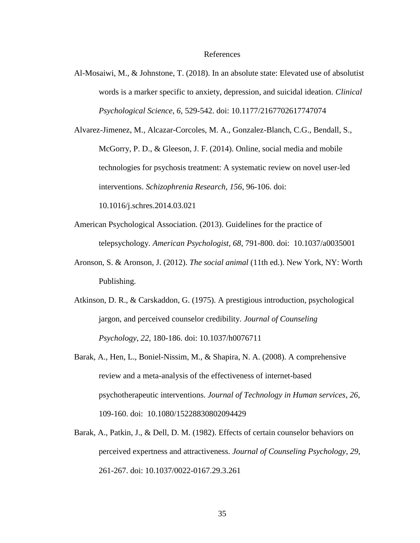#### References

Al-Mosaiwi, M., & Johnstone, T. (2018). In an absolute state: Elevated use of absolutist words is a marker specific to anxiety, depression, and suicidal ideation. *Clinical Psychological Science*, *6*, 529-542. doi: 10.1177/2167702617747074

Alvarez-Jimenez, M., Alcazar-Corcoles, M. A., Gonzalez-Blanch, C.G., Bendall, S., McGorry, P. D., & Gleeson, J. F. (2014). Online, social media and mobile technologies for psychosis treatment: A systematic review on novel user-led interventions. *Schizophrenia Research, 156*, 96-106. doi: 10.1016/j.schres.2014.03.021

- American Psychological Association. (2013). Guidelines for the practice of telepsychology. *American Psychologist, 68*, 791-800. doi: 10.1037/a0035001
- Aronson, S. & Aronson, J. (2012). *The social animal* (11th ed.). New York, NY: Worth Publishing.
- Atkinson, D. R., & Carskaddon, G. (1975). A prestigious introduction, psychological jargon, and perceived counselor credibility. *Journal of Counseling Psychology*, *22*, 180-186. doi: 10.1037/h0076711
- Barak, A., Hen, L., Boniel-Nissim, M., & Shapira, N. A. (2008). A comprehensive review and a meta-analysis of the effectiveness of internet-based psychotherapeutic interventions. *Journal of Technology in Human services*, *26*, 109-160. doi: 10.1080/15228830802094429
- Barak, A., Patkin, J., & Dell, D. M. (1982). Effects of certain counselor behaviors on perceived expertness and attractiveness. *Journal of Counseling Psychology*, *29*, 261-267. doi: 10.1037/0022-0167.29.3.261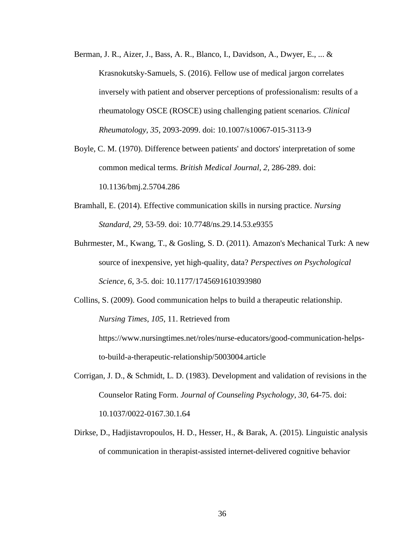- Berman, J. R., Aizer, J., Bass, A. R., Blanco, I., Davidson, A., Dwyer, E., ... & Krasnokutsky-Samuels, S. (2016). Fellow use of medical jargon correlates inversely with patient and observer perceptions of professionalism: results of a rheumatology OSCE (ROSCE) using challenging patient scenarios. *Clinical Rheumatology, 35*, 2093-2099. doi: 10.1007/s10067-015-3113-9
- Boyle, C. M. (1970). Difference between patients' and doctors' interpretation of some common medical terms. *British Medical Journal*, *2*, 286-289. doi: 10.1136/bmj.2.5704.286
- Bramhall, E. (2014). Effective communication skills in nursing practice. *Nursing Standard*, *29*, 53-59. doi: 10.7748/ns.29.14.53.e9355
- Buhrmester, M., Kwang, T., & Gosling, S. D. (2011). Amazon's Mechanical Turk: A new source of inexpensive, yet high-quality, data? *Perspectives on Psychological Science, 6*, 3-5. doi: 10.1177/1745691610393980
- Collins, S. (2009). Good communication helps to build a therapeutic relationship. *Nursing Times*, *105*, 11. Retrieved from

https://www.nursingtimes.net/roles/nurse-educators/good-communication-helpsto-build-a-therapeutic-relationship/5003004.article

- Corrigan, J. D., & Schmidt, L. D. (1983). Development and validation of revisions in the Counselor Rating Form. *Journal of Counseling Psychology, 30*, 64-75. doi: 10.1037/0022-0167.30.1.64
- Dirkse, D., Hadjistavropoulos, H. D., Hesser, H., & Barak, A. (2015). Linguistic analysis of communication in therapist-assisted internet-delivered cognitive behavior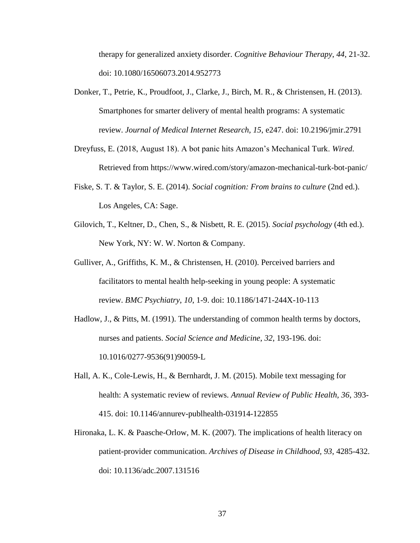therapy for generalized anxiety disorder. *Cognitive Behaviour Therapy*, *44*, 21-32. doi: 10.1080/16506073.2014.952773

- Donker, T., Petrie, K., Proudfoot, J., Clarke, J., Birch, M. R., & Christensen, H. (2013). Smartphones for smarter delivery of mental health programs: A systematic review. *Journal of Medical Internet Research, 15*, e247. doi: 10.2196/jmir.2791
- Dreyfuss, E. (2018, August 18). A bot panic hits Amazon's Mechanical Turk. *Wired*. Retrieved from https://www.wired.com/story/amazon-mechanical-turk-bot-panic/
- Fiske, S. T. & Taylor, S. E. (2014). *Social cognition: From brains to culture* (2nd ed.). Los Angeles, CA: Sage.
- Gilovich, T., Keltner, D., Chen, S., & Nisbett, R. E. (2015). *Social psychology* (4th ed.). New York, NY: W. W. Norton & Company.
- Gulliver, A., Griffiths, K. M., & Christensen, H. (2010). Perceived barriers and facilitators to mental health help-seeking in young people: A systematic review. *BMC Psychiatry*, *10*, 1-9. doi: 10.1186/1471-244X-10-113
- Hadlow, J., & Pitts, M. (1991). The understanding of common health terms by doctors, nurses and patients. *Social Science and Medicine*, *32*, 193-196. doi: 10.1016/0277-9536(91)90059-L
- Hall, A. K., Cole-Lewis, H., & Bernhardt, J. M. (2015). Mobile text messaging for health: A systematic review of reviews. *Annual Review of Public Health, 36*, 393- 415. doi: 10.1146/annurev-publhealth-031914-122855
- Hironaka, L. K. & Paasche-Orlow, M. K. (2007). The implications of health literacy on patient-provider communication. *Archives of Disease in Childhood, 93*, 4285-432. doi: 10.1136/adc.2007.131516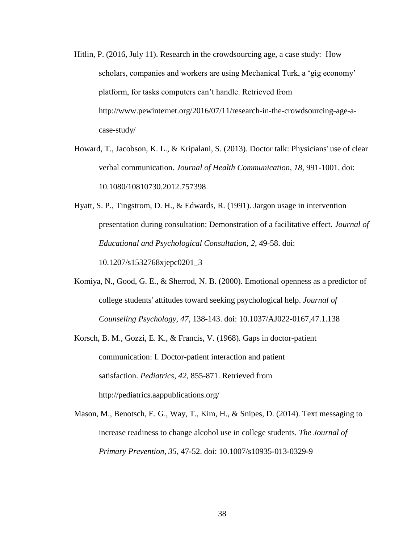- Hitlin, P. (2016, July 11). Research in the crowdsourcing age, a case study: How scholars, companies and workers are using Mechanical Turk, a 'gig economy' platform, for tasks computers can't handle. Retrieved from http://www.pewinternet.org/2016/07/11/research-in-the-crowdsourcing-age-acase-study/
- Howard, T., Jacobson, K. L., & Kripalani, S. (2013). Doctor talk: Physicians' use of clear verbal communication. *Journal of Health Communication*, *18*, 991-1001. doi: 10.1080/10810730.2012.757398
- Hyatt, S. P., Tingstrom, D. H., & Edwards, R. (1991). Jargon usage in intervention presentation during consultation: Demonstration of a facilitative effect. *Journal of Educational and Psychological Consultation*, *2*, 49-58. doi: 10.1207/s1532768xjepc0201\_3
- Komiya, N., Good, G. E., & Sherrod, N. B. (2000). Emotional openness as a predictor of college students' attitudes toward seeking psychological help. *Journal of Counseling Psychology, 47*, 138-143. doi: 10.1037/AJ022-0167,47.1.138
- Korsch, B. M., Gozzi, E. K., & Francis, V. (1968). Gaps in doctor-patient communication: I. Doctor-patient interaction and patient satisfaction. *Pediatrics*, *42*, 855-871. Retrieved from http://pediatrics.aappublications.org/
- Mason, M., Benotsch, E. G., Way, T., Kim, H., & Snipes, D. (2014). Text messaging to increase readiness to change alcohol use in college students. *The Journal of Primary Prevention, 35*, 47-52. doi: 10.1007/s10935-013-0329-9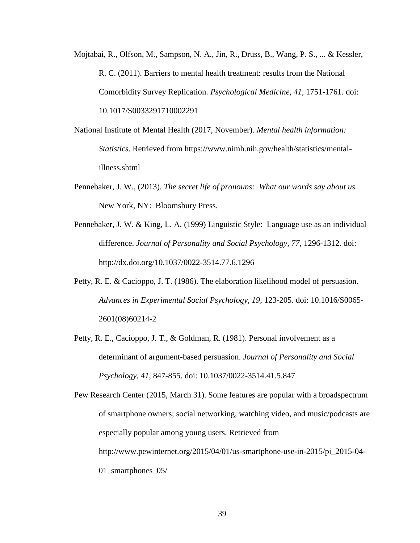- Mojtabai, R., Olfson, M., Sampson, N. A., Jin, R., Druss, B., Wang, P. S., ... & Kessler, R. C. (2011). Barriers to mental health treatment: results from the National Comorbidity Survey Replication. *Psychological Medicine*, *41*, 1751-1761. doi: 10.1017/S0033291710002291
- National Institute of Mental Health (2017, November). *Mental health information: Statistics.* Retrieved from https://www.nimh.nih.gov/health/statistics/mentalillness.shtml
- Pennebaker, J. W., (2013). *The secret life of pronouns: What our words say about us.*  New York, NY: Bloomsbury Press.
- Pennebaker, J. W. & King, L. A. (1999) Linguistic Style: Language use as an individual difference. *Journal of Personality and Social Psychology, 77*, 1296-1312. doi: http://dx.doi.org/10.1037/0022-3514.77.6.1296
- Petty, R. E. & Cacioppo, J. T. (1986). The elaboration likelihood model of persuasion. *Advances in Experimental Social Psychology, 19*, 123-205. doi: 10.1016/S0065- 2601(08)60214-2
- Petty, R. E., Cacioppo, J. T., & Goldman, R. (1981). Personal involvement as a determinant of argument-based persuasion. *Journal of Personality and Social Psychology, 41*, 847-855. doi: 10.1037/0022-3514.41.5.847

Pew Research Center (2015, March 31). Some features are popular with a broadspectrum of smartphone owners; social networking, watching video, and music/podcasts are especially popular among young users. Retrieved from http://www.pewinternet.org/2015/04/01/us-smartphone-use-in-2015/pi\_2015-04- 01\_smartphones\_05/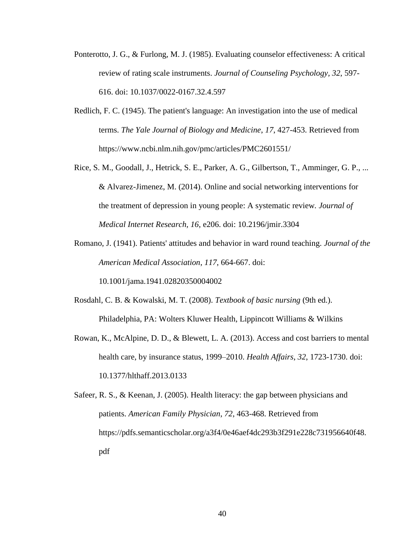- Ponterotto, J. G., & Furlong, M. J. (1985). Evaluating counselor effectiveness: A critical review of rating scale instruments. *Journal of Counseling Psychology, 32*, 597- 616. doi: 10.1037/0022-0167.32.4.597
- Redlich, F. C. (1945). The patient's language: An investigation into the use of medical terms. *The Yale Journal of Biology and Medicine*, *17*, 427-453. Retrieved from https://www.ncbi.nlm.nih.gov/pmc/articles/PMC2601551/
- Rice, S. M., Goodall, J., Hetrick, S. E., Parker, A. G., Gilbertson, T., Amminger, G. P., ... & Alvarez-Jimenez, M. (2014). Online and social networking interventions for the treatment of depression in young people: A systematic review*. Journal of Medical Internet Research, 16*, e206. doi: 10.2196/jmir.3304
- Romano, J. (1941). Patients' attitudes and behavior in ward round teaching. *Journal of the American Medical Association*, *117*, 664-667. doi:

10.1001/jama.1941.02820350004002

- Rosdahl, C. B. & Kowalski, M. T. (2008). *Textbook of basic nursing* (9th ed.). Philadelphia, PA: Wolters Kluwer Health, Lippincott Williams & Wilkins
- Rowan, K., McAlpine, D. D., & Blewett, L. A. (2013). Access and cost barriers to mental health care, by insurance status, 1999–2010. *Health Affairs*, *32*, 1723-1730. doi: 10.1377/hlthaff.2013.0133
- Safeer, R. S., & Keenan, J. (2005). Health literacy: the gap between physicians and patients. *American Family Physician*, *72*, 463-468. Retrieved from https://pdfs.semanticscholar.org/a3f4/0e46aef4dc293b3f291e228c731956640f48. pdf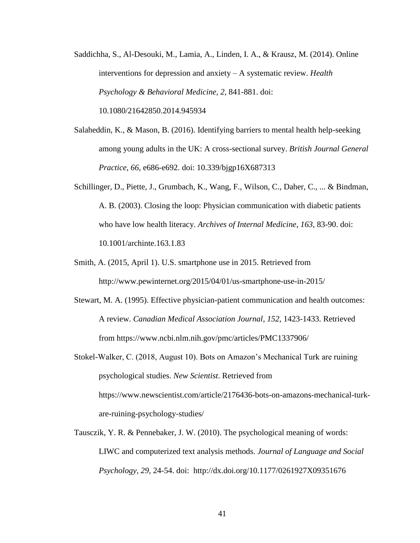Saddichha, S., Al-Desouki, M., Lamia, A., Linden, I. A., & Krausz, M. (2014). Online interventions for depression and anxiety – A systematic review. *Health Psychology & Behavioral Medicine, 2*, 841-881. doi: 10.1080/21642850.2014.945934

- Salaheddin, K., & Mason, B. (2016). Identifying barriers to mental health help-seeking among young adults in the UK: A cross-sectional survey. *British Journal General Practice*, *66*, e686-e692. doi: 10.339/bjgp16X687313
- Schillinger, D., Piette, J., Grumbach, K., Wang, F., Wilson, C., Daher, C., ... & Bindman, A. B. (2003). Closing the loop: Physician communication with diabetic patients who have low health literacy. *Archives of Internal Medicine*, *163*, 83-90. doi: 10.1001/archinte.163.1.83
- Smith, A. (2015, April 1). U.S. smartphone use in 2015. Retrieved from http://www.pewinternet.org/2015/04/01/us-smartphone-use-in-2015/
- Stewart, M. A. (1995). Effective physician-patient communication and health outcomes: A review. *Canadian Medical Association Journal*, *152*, 1423-1433. Retrieved from https://www.ncbi.nlm.nih.gov/pmc/articles/PMC1337906/
- Stokel-Walker, C. (2018, August 10). Bots on Amazon's Mechanical Turk are ruining psychological studies. *New Scientist*. Retrieved from https://www.newscientist.com/article/2176436-bots-on-amazons-mechanical-turkare-ruining-psychology-studies/
- Tausczik, Y. R. & Pennebaker, J. W. (2010). The psychological meaning of words: LIWC and computerized text analysis methods. *Journal of Language and Social Psychology, 29,* 24-54. doi: http://dx.doi.org/10.1177/0261927X09351676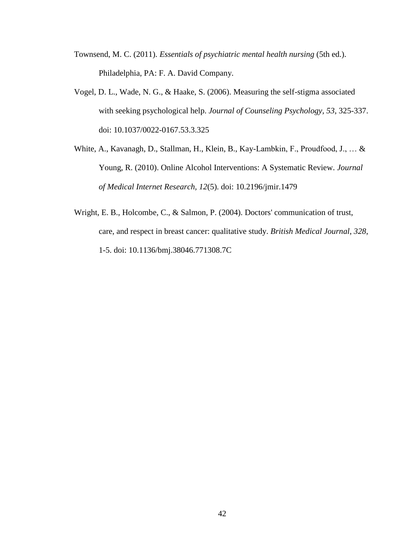- Townsend, M. C. (2011). *Essentials of psychiatric mental health nursing* (5th ed.). Philadelphia, PA: F. A. David Company.
- Vogel, D. L., Wade, N. G., & Haake, S. (2006). Measuring the self-stigma associated with seeking psychological help. *Journal of Counseling Psychology, 53*, 325-337. doi: 10.1037/0022-0167.53.3.325
- White, A., Kavanagh, D., Stallman, H., Klein, B., Kay-Lambkin, F., Proudfood, J., … & Young, R. (2010). Online Alcohol Interventions: A Systematic Review. *Journal of Medical Internet Research, 12*(5). doi: 10.2196/jmir.1479
- Wright, E. B., Holcombe, C., & Salmon, P. (2004). Doctors' communication of trust, care, and respect in breast cancer: qualitative study. *British Medical Journal*, *328*, 1-5. doi: 10.1136/bmj.38046.771308.7C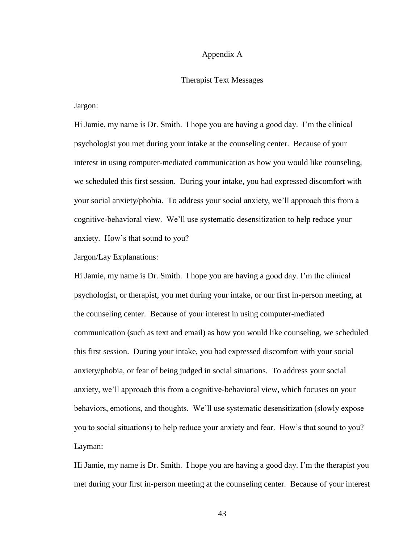### Appendix A

#### Therapist Text Messages

Jargon:

Hi Jamie, my name is Dr. Smith. I hope you are having a good day. I'm the clinical psychologist you met during your intake at the counseling center. Because of your interest in using computer-mediated communication as how you would like counseling, we scheduled this first session. During your intake, you had expressed discomfort with your social anxiety/phobia. To address your social anxiety, we'll approach this from a cognitive-behavioral view. We'll use systematic desensitization to help reduce your anxiety. How's that sound to you?

Jargon/Lay Explanations:

Hi Jamie, my name is Dr. Smith. I hope you are having a good day. I'm the clinical psychologist, or therapist, you met during your intake, or our first in-person meeting, at the counseling center. Because of your interest in using computer-mediated communication (such as text and email) as how you would like counseling, we scheduled this first session. During your intake, you had expressed discomfort with your social anxiety/phobia, or fear of being judged in social situations. To address your social anxiety, we'll approach this from a cognitive-behavioral view, which focuses on your behaviors, emotions, and thoughts. We'll use systematic desensitization (slowly expose you to social situations) to help reduce your anxiety and fear. How's that sound to you? Layman:

Hi Jamie, my name is Dr. Smith. I hope you are having a good day. I'm the therapist you met during your first in-person meeting at the counseling center. Because of your interest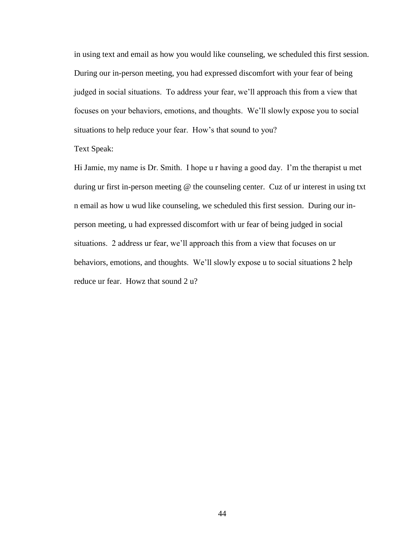in using text and email as how you would like counseling, we scheduled this first session. During our in-person meeting, you had expressed discomfort with your fear of being judged in social situations. To address your fear, we'll approach this from a view that focuses on your behaviors, emotions, and thoughts. We'll slowly expose you to social situations to help reduce your fear. How's that sound to you?

# Text Speak:

Hi Jamie, my name is Dr. Smith. I hope u r having a good day. I'm the therapist u met during ur first in-person meeting @ the counseling center. Cuz of ur interest in using txt n email as how u wud like counseling, we scheduled this first session. During our inperson meeting, u had expressed discomfort with ur fear of being judged in social situations. 2 address ur fear, we'll approach this from a view that focuses on ur behaviors, emotions, and thoughts. We'll slowly expose u to social situations 2 help reduce ur fear. Howz that sound 2 u?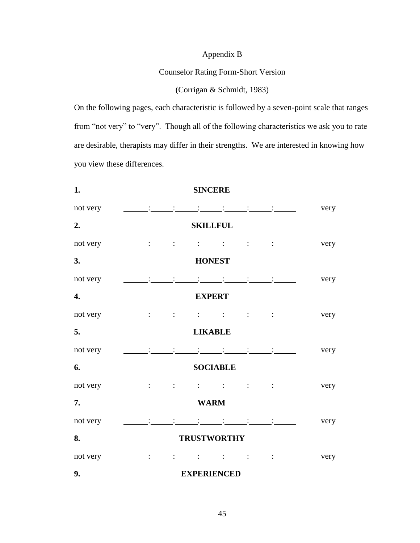# Appendix B

# Counselor Rating Form-Short Version

# (Corrigan & Schmidt, 1983)

On the following pages, each characteristic is followed by a seven-point scale that ranges from "not very" to "very". Though all of the following characteristics we ask you to rate are desirable, therapists may differ in their strengths. We are interested in knowing how you view these differences.

| 1.       | <b>SINCERE</b>                                                                                                                                                                                                                                                                                                                                                                                                                                                                                                                                                                                                                                                                                                                                                                                                    |      |
|----------|-------------------------------------------------------------------------------------------------------------------------------------------------------------------------------------------------------------------------------------------------------------------------------------------------------------------------------------------------------------------------------------------------------------------------------------------------------------------------------------------------------------------------------------------------------------------------------------------------------------------------------------------------------------------------------------------------------------------------------------------------------------------------------------------------------------------|------|
| not very | $\sim 10^4$ and $\sim 10^4$<br>$\mathcal{L}^{\mathcal{L}}(\mathcal{L}^{\mathcal{L}}(\mathcal{L}^{\mathcal{L}}(\mathcal{L}^{\mathcal{L}}(\mathcal{L}^{\mathcal{L}}(\mathcal{L}^{\mathcal{L}}(\mathcal{L}^{\mathcal{L}}(\mathcal{L}^{\mathcal{L}}(\mathcal{L}^{\mathcal{L}}(\mathcal{L}^{\mathcal{L}}(\mathcal{L}^{\mathcal{L}}(\mathcal{L}^{\mathcal{L}}(\mathcal{L}^{\mathcal{L}}(\mathcal{L}^{\mathcal{L}}(\mathcal{L}^{\mathcal{L}}(\mathcal{L}^{\mathcal{L}}(\mathcal{L}^{\mathcal{L$                                                                                                                                                                                                                                                                                                                          | very |
| 2.       | <b>SKILLFUL</b>                                                                                                                                                                                                                                                                                                                                                                                                                                                                                                                                                                                                                                                                                                                                                                                                   |      |
| not very | $\mathcal{L}^{\mathcal{L}}(\mathcal{L}^{\mathcal{L}}(\mathcal{L}^{\mathcal{L}}(\mathcal{L}^{\mathcal{L}}(\mathcal{L}^{\mathcal{L}}(\mathcal{L}^{\mathcal{L}}(\mathcal{L}^{\mathcal{L}}(\mathcal{L}^{\mathcal{L}}(\mathcal{L}^{\mathcal{L}}(\mathcal{L}^{\mathcal{L}}(\mathcal{L}^{\mathcal{L}}(\mathcal{L}^{\mathcal{L}}(\mathcal{L}^{\mathcal{L}}(\mathcal{L}^{\mathcal{L}}(\mathcal{L}^{\mathcal{L}}(\mathcal{L}^{\mathcal{L}}(\mathcal{L}^{\mathcal{L$<br>$\frac{1}{2}$ $\frac{1}{2}$ $\frac{1}{2}$ $\frac{1}{2}$ $\frac{1}{2}$ $\frac{1}{2}$ $\frac{1}{2}$ $\frac{1}{2}$ $\frac{1}{2}$ $\frac{1}{2}$ $\frac{1}{2}$ $\frac{1}{2}$ $\frac{1}{2}$ $\frac{1}{2}$ $\frac{1}{2}$ $\frac{1}{2}$ $\frac{1}{2}$ $\frac{1}{2}$ $\frac{1}{2}$ $\frac{1}{2}$ $\frac{1}{2}$ $\frac{1}{2}$<br>$\mathbf{1}$ and $\mathbf{1}$ | very |
| 3.       | <b>HONEST</b>                                                                                                                                                                                                                                                                                                                                                                                                                                                                                                                                                                                                                                                                                                                                                                                                     |      |
| not very | $\mathbf{1} \qquad \qquad \mathbf{1} \qquad \qquad \mathbf{1} \qquad \qquad \mathbf{1} \qquad \qquad \mathbf{1} \qquad \qquad \mathbf{1} \qquad \qquad \mathbf{1} \qquad \qquad \mathbf{1} \qquad \qquad \mathbf{1} \qquad \qquad \mathbf{1} \qquad \qquad \mathbf{1} \qquad \qquad \mathbf{1} \qquad \qquad \mathbf{1} \qquad \qquad \mathbf{1} \qquad \qquad \mathbf{1} \qquad \qquad \mathbf{1} \qquad \qquad \mathbf{1} \qquad \qquad \mathbf{1} \qquad \qquad \mathbf{$                                                                                                                                                                                                                                                                                                                                      | very |
| 4.       | <b>EXPERT</b>                                                                                                                                                                                                                                                                                                                                                                                                                                                                                                                                                                                                                                                                                                                                                                                                     |      |
| not very | $\mathbf{1}$ and $\mathbf{1}$ and $\mathbf{1}$ and $\mathbf{1}$ and $\mathbf{1}$                                                                                                                                                                                                                                                                                                                                                                                                                                                                                                                                                                                                                                                                                                                                  | very |
| 5.       | <b>LIKABLE</b>                                                                                                                                                                                                                                                                                                                                                                                                                                                                                                                                                                                                                                                                                                                                                                                                    |      |
| not very | $\frac{1}{2}$ ( $\frac{1}{2}$ ) ( $\frac{1}{2}$ ) ( $\frac{1}{2}$ ) ( $\frac{1}{2}$ ) ( $\frac{1}{2}$ ) ( $\frac{1}{2}$ ) ( $\frac{1}{2}$ ) ( $\frac{1}{2}$ ) ( $\frac{1}{2}$ ) ( $\frac{1}{2}$ ) ( $\frac{1}{2}$ ) ( $\frac{1}{2}$ ) ( $\frac{1}{2}$ ) ( $\frac{1}{2}$ ) ( $\frac{1}{2}$ ) (                                                                                                                                                                                                                                                                                                                                                                                                                                                                                                                     | very |
| 6.       | <b>SOCIABLE</b>                                                                                                                                                                                                                                                                                                                                                                                                                                                                                                                                                                                                                                                                                                                                                                                                   |      |
| not very |                                                                                                                                                                                                                                                                                                                                                                                                                                                                                                                                                                                                                                                                                                                                                                                                                   | very |
| 7.       | <b>WARM</b>                                                                                                                                                                                                                                                                                                                                                                                                                                                                                                                                                                                                                                                                                                                                                                                                       |      |
| not very | $\sim 10^{11}$ MeV and $\sim 10^{11}$<br>$\mathbf{1}$ and $\mathbf{1}$ and $\mathbf{1}$                                                                                                                                                                                                                                                                                                                                                                                                                                                                                                                                                                                                                                                                                                                           | very |
| 8.       | <b>TRUSTWORTHY</b>                                                                                                                                                                                                                                                                                                                                                                                                                                                                                                                                                                                                                                                                                                                                                                                                |      |
| not very |                                                                                                                                                                                                                                                                                                                                                                                                                                                                                                                                                                                                                                                                                                                                                                                                                   | very |
| 9.       | <b>EXPERIENCED</b>                                                                                                                                                                                                                                                                                                                                                                                                                                                                                                                                                                                                                                                                                                                                                                                                |      |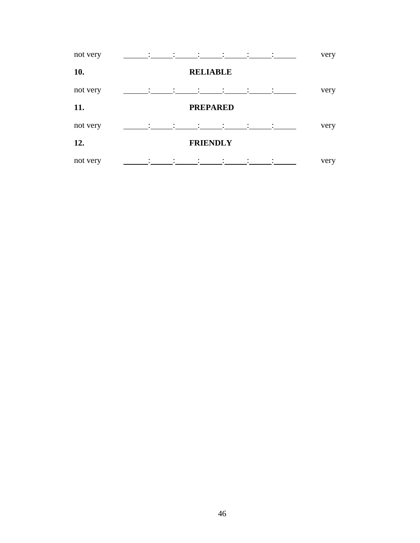| not very | $\mathcal{L} = \{1, \ldots, n-1\}$                                                                                    |                   |                 |                                                                                 | $\sim$ 100 $\sim$ | very |
|----------|-----------------------------------------------------------------------------------------------------------------------|-------------------|-----------------|---------------------------------------------------------------------------------|-------------------|------|
| 10.      |                                                                                                                       |                   | <b>RELIABLE</b> |                                                                                 |                   |      |
| not very |                                                                                                                       |                   |                 |                                                                                 |                   | very |
| 11.      |                                                                                                                       |                   | <b>PREPARED</b> |                                                                                 |                   |      |
| not very | $\mathcal{L} = \mathcal{L} \mathcal{L} = \mathcal{L} \mathcal{L} = \mathcal{L} \mathcal{L} = \mathcal{L} \mathcal{L}$ |                   |                 | $\mathcal{L} = \mathcal{L} \times \mathcal{L} = \mathcal{L} \times \mathcal{L}$ |                   | very |
| 12.      |                                                                                                                       |                   | <b>FRIENDLY</b> |                                                                                 |                   |      |
| not very |                                                                                                                       | $\sim 10^{-11}$ . |                 |                                                                                 |                   | very |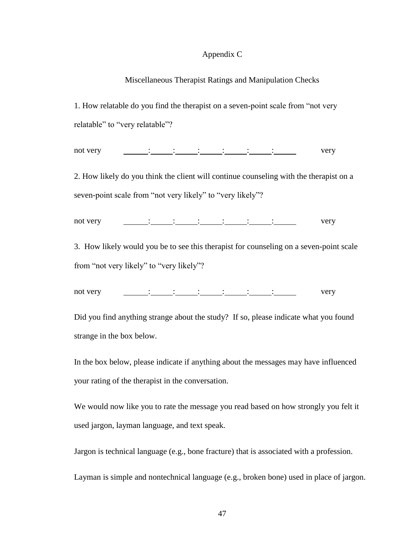## Appendix C

## Miscellaneous Therapist Ratings and Manipulation Checks

1. How relatable do you find the therapist on a seven-point scale from "not very relatable" to "very relatable"?

not very  $\qquad \qquad : \qquad : \qquad \qquad : \qquad \qquad : \qquad \qquad : \qquad \qquad : \qquad \qquad : \qquad \qquad \qquad \qquad \text{very}$ 

2. How likely do you think the client will continue counseling with the therapist on a seven-point scale from "not very likely" to "very likely"?

not very <u>in its interesting in the set of the set of the set of the set of the set of the set of the set of the set of the set of the set of the set of the set of the set of the set of the set of the set of the set of the</u>

3. How likely would you be to see this therapist for counseling on a seven-point scale from "not very likely" to "very likely"?

not very <u>in its interesting in the set of the set of the set of the set of the set of the set of the set of the set of the set of the set of the set of the set of the set of the set of the set of the set of the set of the</u>

Did you find anything strange about the study? If so, please indicate what you found strange in the box below.

In the box below, please indicate if anything about the messages may have influenced your rating of the therapist in the conversation.

We would now like you to rate the message you read based on how strongly you felt it used jargon, layman language, and text speak.

Jargon is technical language (e.g., bone fracture) that is associated with a profession.

Layman is simple and nontechnical language (e.g., broken bone) used in place of jargon.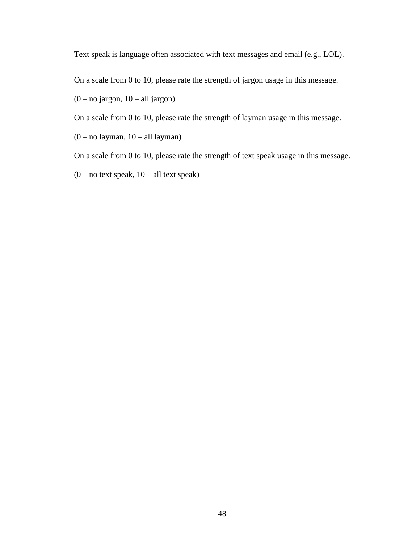Text speak is language often associated with text messages and email (e.g., LOL).

On a scale from 0 to 10, please rate the strength of jargon usage in this message.

 $(0 - no jargon, 10 - all jargon)$ 

On a scale from 0 to 10, please rate the strength of layman usage in this message.

 $(0 - no$  layman,  $10 - all$  layman)

On a scale from 0 to 10, please rate the strength of text speak usage in this message.

 $(0 - no text speak, 10 - all text speak)$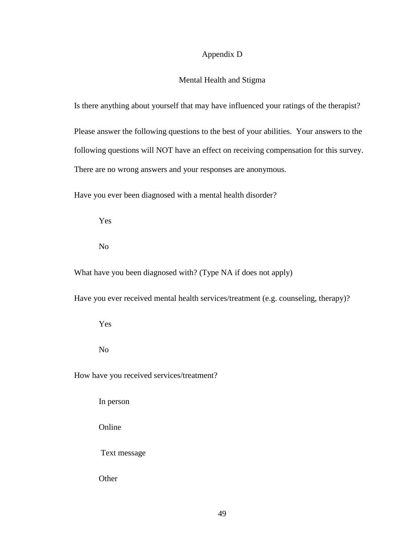# Appendix D

# Mental Health and Stigma

Is there anything about yourself that may have influenced your ratings of the therapist?

Please answer the following questions to the best of your abilities. Your answers to the following questions will NOT have an effect on receiving compensation for this survey. There are no wrong answers and your responses are anonymous.

Have you ever been diagnosed with a mental health disorder?

Yes

No

What have you been diagnosed with? (Type NA if does not apply)

Have you ever received mental health services/treatment (e.g. counseling, therapy)?

Yes

No

How have you received services/treatment?

In person

Online

Text message

**Other**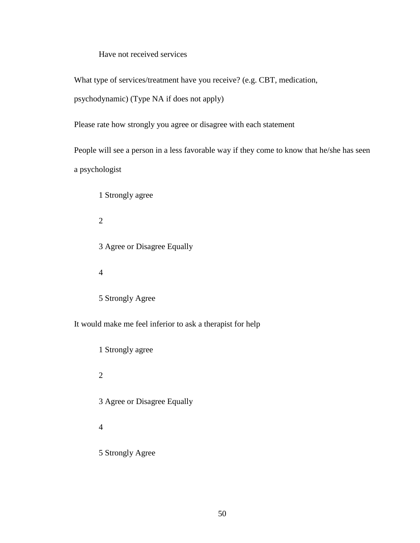Have not received services

What type of services/treatment have you receive? (e.g. CBT, medication,

psychodynamic) (Type NA if does not apply)

Please rate how strongly you agree or disagree with each statement

People will see a person in a less favorable way if they come to know that he/she has seen a psychologist

1 Strongly agree

2

3 Agree or Disagree Equally

4

5 Strongly Agree

It would make me feel inferior to ask a therapist for help

1 Strongly agree 2 3 Agree or Disagree Equally 4 5 Strongly Agree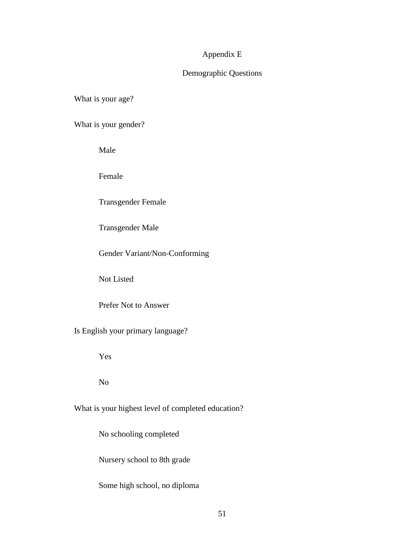# Appendix E

# Demographic Questions

What is your age?

What is your gender?

Male

Female

Transgender Female

Transgender Male

Gender Variant/Non-Conforming

Not Listed

Prefer Not to Answer

Is English your primary language?

Yes

No

What is your highest level of completed education?

No schooling completed

Nursery school to 8th grade

Some high school, no diploma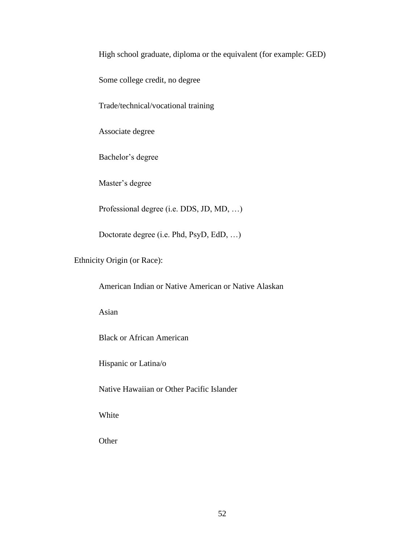High school graduate, diploma or the equivalent (for example: GED)

Some college credit, no degree

Trade/technical/vocational training

Associate degree

Bachelor's degree

Master's degree

Professional degree (i.e. DDS, JD, MD, …)

Doctorate degree (i.e. Phd, PsyD, EdD, …)

Ethnicity Origin (or Race):

American Indian or Native American or Native Alaskan

Asian

Black or African American

Hispanic or Latina/o

Native Hawaiian or Other Pacific Islander

White

**Other**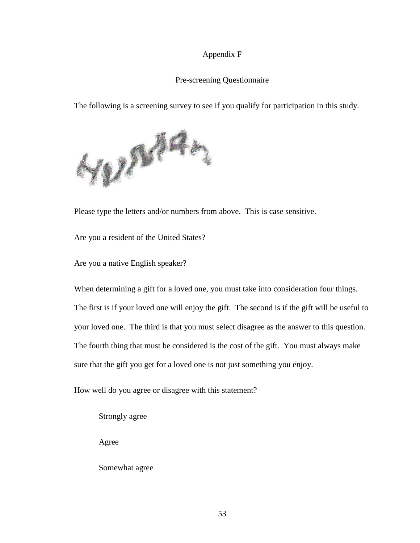# Appendix F

# Pre-screening Questionnaire

The following is a screening survey to see if you qualify for participation in this study.



Please type the letters and/or numbers from above. This is case sensitive.

Are you a resident of the United States?

Are you a native English speaker?

When determining a gift for a loved one, you must take into consideration four things. The first is if your loved one will enjoy the gift. The second is if the gift will be useful to your loved one. The third is that you must select disagree as the answer to this question. The fourth thing that must be considered is the cost of the gift. You must always make sure that the gift you get for a loved one is not just something you enjoy.

How well do you agree or disagree with this statement?

Strongly agree

Agree

Somewhat agree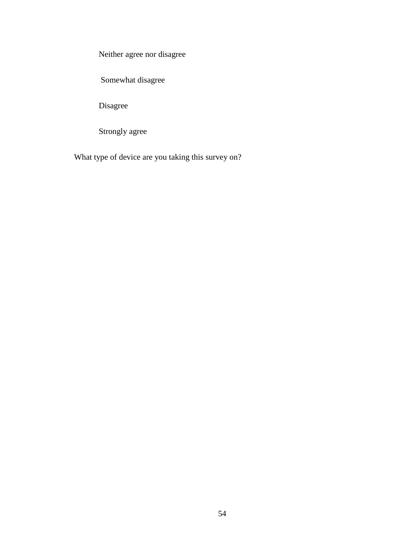Neither agree nor disagree

Somewhat disagree

Disagree

Strongly agree

What type of device are you taking this survey on?